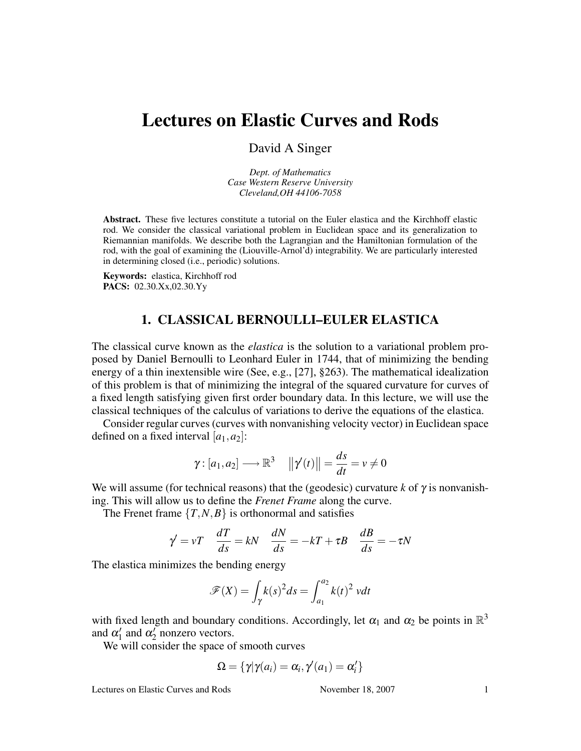# Lectures on Elastic Curves and Rods

David A Singer

*Dept. of Mathematics Case Western Reserve University Cleveland,OH 44106-7058*

Abstract. These five lectures constitute a tutorial on the Euler elastica and the Kirchhoff elastic rod. We consider the classical variational problem in Euclidean space and its generalization to Riemannian manifolds. We describe both the Lagrangian and the Hamiltonian formulation of the rod, with the goal of examining the (Liouville-Arnol'd) integrability. We are particularly interested in determining closed (i.e., periodic) solutions.

Keywords: elastica, Kirchhoff rod PACS: 02.30.Xx,02.30.Yy

#### 1. CLASSICAL BERNOULLI–EULER ELASTICA

The classical curve known as the *elastica* is the solution to a variational problem proposed by Daniel Bernoulli to Leonhard Euler in 1744, that of minimizing the bending energy of a thin inextensible wire (See, e.g., [27], §263). The mathematical idealization of this problem is that of minimizing the integral of the squared curvature for curves of a fixed length satisfying given first order boundary data. In this lecture, we will use the classical techniques of the calculus of variations to derive the equations of the elastica.

Consider regular curves (curves with nonvanishing velocity vector) in Euclidean space defined on a fixed interval  $[a_1, a_2]$ :

$$
\gamma: [a_1, a_2] \longrightarrow \mathbb{R}^3 \quad ||\gamma'(t)|| = \frac{ds}{dt} = v \neq 0
$$

We will assume (for technical reasons) that the (geodesic) curvature *k* of  $\gamma$  is nonvanishing. This will allow us to define the *Frenet Frame* along the curve.

The Frenet frame  ${T, N, B}$  is orthonormal and satisfies

$$
\gamma' = vT \quad \frac{dT}{ds} = kN \quad \frac{dN}{ds} = -kT + \tau B \quad \frac{dB}{ds} = -\tau N
$$

The elastica minimizes the bending energy

$$
\mathscr{F}(X) = \int_{\gamma} k(s)^2 ds = \int_{a_1}^{a_2} k(t)^2 \, v dt
$$

with fixed length and boundary conditions. Accordingly, let  $\alpha_1$  and  $\alpha_2$  be points in  $\mathbb{R}^3$ and  $\alpha'_1$  and  $\alpha'_2$  nonzero vectors.

We will consider the space of smooth curves

$$
\Omega = \{ \gamma | \gamma(a_i) = \alpha_i, \gamma'(a_1) = \alpha'_i \}
$$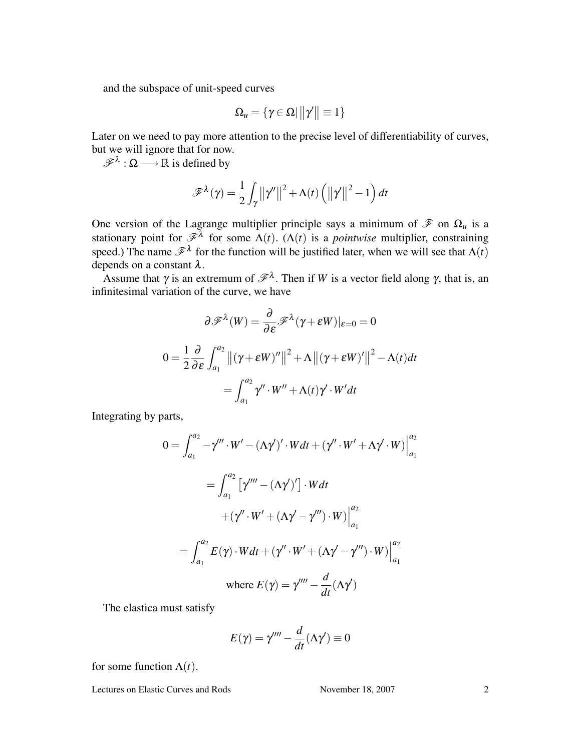and the subspace of unit-speed curves

$$
\Omega_u = \{ \gamma \in \Omega \vert \, \|\gamma'\| \equiv 1 \}
$$

Later on we need to pay more attention to the precise level of differentiability of curves, but we will ignore that for now.

 $\mathscr{F}^{\lambda}: \Omega \longrightarrow \mathbb{R}$  is defined by

$$
\mathscr{F}^{\lambda}(\gamma) = \frac{1}{2} \int_{\gamma} \left\| \gamma'' \right\|^2 + \Lambda(t) \left( \left\| \gamma' \right\|^2 - 1 \right) dt
$$

One version of the Lagrange multiplier principle says a minimum of  $\mathscr F$  on  $\Omega_u$  is a stationary point for  $\mathscr{F}^{\lambda}$  for some  $\Lambda(t)$ . ( $\Lambda(t)$  is a *pointwise* multiplier, constraining speed.) The name  $\mathscr{F}^{\lambda}$  for the function will be justified later, when we will see that  $\Lambda(t)$ depends on a constant λ.

Assume that  $\gamma$  is an extremum of  $\mathscr{F}^{\lambda}$ . Then if *W* is a vector field along  $\gamma$ , that is, an infinitesimal variation of the curve, we have

$$
\partial \mathscr{F}^{\lambda}(W) = \frac{\partial}{\partial \varepsilon} \mathscr{F}^{\lambda}(\gamma + \varepsilon W)|_{\varepsilon=0} = 0
$$
  

$$
0 = \frac{1}{2} \frac{\partial}{\partial \varepsilon} \int_{a_1}^{a_2} ||(\gamma + \varepsilon W)''||^2 + \Lambda ||(\gamma + \varepsilon W)'||^2 - \Lambda(t) dt
$$
  

$$
= \int_{a_1}^{a_2} \gamma'' \cdot W'' + \Lambda(t) \gamma' \cdot W' dt
$$

Integrating by parts,

$$
0 = \int_{a_1}^{a_2} -\gamma''' \cdot W' - (\Lambda \gamma')' \cdot W dt + (\gamma'' \cdot W' + \Lambda \gamma' \cdot W)\Big|_{a_1}^{a_2}
$$
  
= 
$$
\int_{a_1}^{a_2} [\gamma'''' - (\Lambda \gamma')'] \cdot W dt
$$
  
+ 
$$
(\gamma'' \cdot W' + (\Lambda \gamma' - \gamma''') \cdot W)\Big|_{a_1}^{a_2}
$$
  
= 
$$
\int_{a_1}^{a_2} E(\gamma) \cdot W dt + (\gamma'' \cdot W' + (\Lambda \gamma' - \gamma''') \cdot W)\Big|_{a_1}^{a_2}
$$
  
where 
$$
E(\gamma) = \gamma''' - \frac{d}{dt}(\Lambda \gamma')
$$

The elastica must satisfy

$$
E(\gamma) = \gamma'''' - \frac{d}{dt}(\Lambda \gamma') \equiv 0
$$

for some function  $\Lambda(t)$ .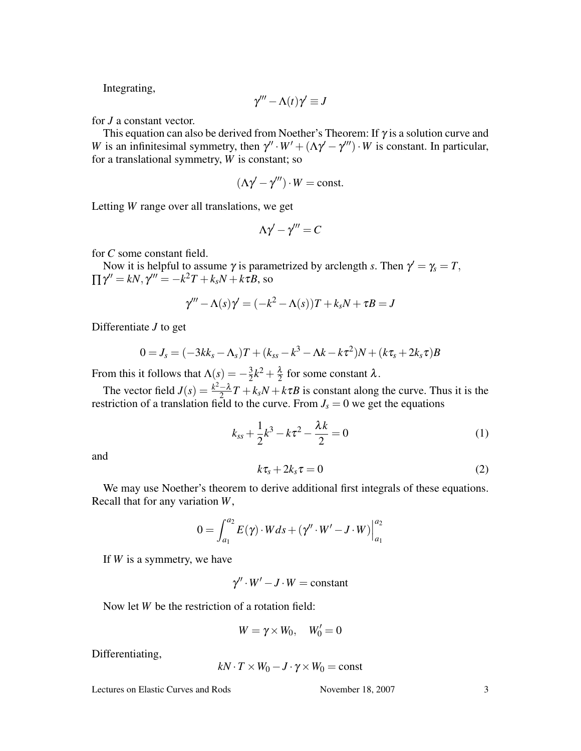Integrating,

$$
\gamma''' - \Lambda(t)\gamma' \equiv J
$$

for *J* a constant vector.

This equation can also be derived from Noether's Theorem: If  $\gamma$  is a solution curve and *W* is an infinitesimal symmetry, then  $\gamma'' \cdot W' + (\Lambda \gamma' - \gamma''') \cdot W$  is constant. In particular, for a translational symmetry, *W* is constant; so

$$
(\Lambda \gamma' - \gamma''') \cdot W = \text{const.}
$$

Letting *W* range over all translations, we get

$$
\Lambda \gamma' - \gamma''' = C
$$

for *C* some constant field.

Now it is helpful to assume  $\gamma$  is parametrized by arclength *s*. Then  $\gamma' = \gamma_s = T$ ,  $\prod \gamma'' = kN$ ,  $\gamma''' = -k^2T + k_sN + k\tau B$ , so

$$
\gamma''' - \Lambda(s)\gamma' = (-k^2 - \Lambda(s))T + k_sN + \tau B = J
$$

Differentiate *J* to get

$$
0 = J_s = (-3kk_s - \Lambda_s)T + (k_{ss} - k^3 - \Lambda k - k\tau^2)N + (k\tau_s + 2k_s\tau)B
$$

From this it follows that  $\Lambda(s) = -\frac{3}{2}$  $\frac{3}{2}k^2 + \frac{\lambda}{2}$  $\frac{\lambda}{2}$  for some constant  $\lambda$ .

The vector field  $J(s) = \frac{k^2 - \lambda}{2}$  $\frac{-\lambda}{2}T + k_sN + k\tau B$  is constant along the curve. Thus it is the restriction of a translation field to the curve. From  $J_s = 0$  we get the equations

$$
k_{ss} + \frac{1}{2}k^3 - k\tau^2 - \frac{\lambda k}{2} = 0
$$
 (1)

and

$$
k\tau_s + 2k_s\tau = 0\tag{2}
$$

We may use Noether's theorem to derive additional first integrals of these equations. Recall that for any variation *W*,

$$
0 = \int_{a_1}^{a_2} E(\gamma) \cdot W ds + (\gamma'' \cdot W' - J \cdot W) \Big|_{a_1}^{a_2}
$$

If *W* is a symmetry, we have

$$
\gamma'' \cdot W' - J \cdot W = \text{constant}
$$

Now let *W* be the restriction of a rotation field:

$$
W = \gamma \times W_0, \quad W'_0 = 0
$$

Differentiating,

$$
kN \cdot T \times W_0 - J \cdot \gamma \times W_0 = \text{const}
$$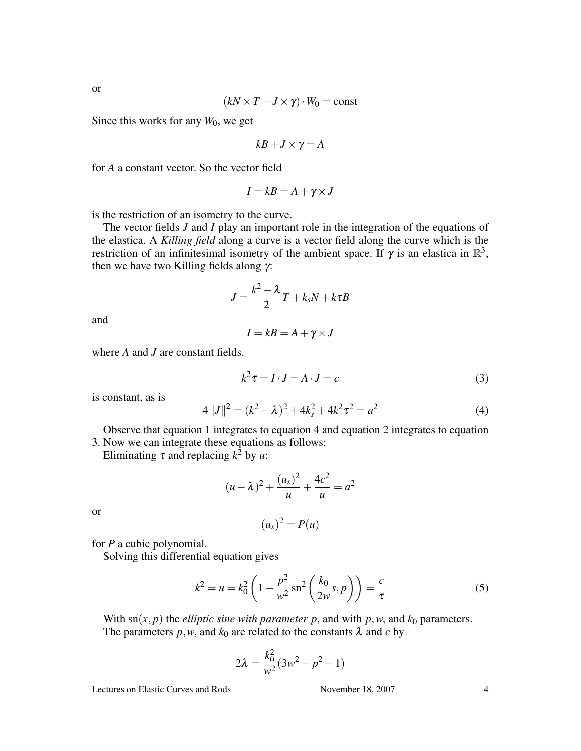$$
(kN \times T - J \times \gamma) \cdot W_0 = \text{const}
$$

Since this works for any  $W_0$ , we get

$$
kB + J \times \gamma = A
$$

for *A* a constant vector. So the vector field

$$
I = kB = A + \gamma \times J
$$

is the restriction of an isometry to the curve.

The vector fields *J* and *I* play an important role in the integration of the equations of the elastica. A *Killing field* along a curve is a vector field along the curve which is the restriction of an infinitesimal isometry of the ambient space. If  $\gamma$  is an elastica in  $\mathbb{R}^3$ , then we have two Killing fields along  $γ$ :

$$
J=\frac{k^2-\lambda}{2}T+k_sN+k\tau B
$$

and

$$
I = kB = A + \gamma \times J
$$

where *A* and *J* are constant fields.

$$
k^2 \tau = I \cdot J = A \cdot J = c \tag{3}
$$

is constant, as is

$$
4||J||2 = (k2 – \lambda)2 + 4ks2 + 4k2\tau2 = a2
$$
 (4)

Observe that equation 1 integrates to equation 4 and equation 2 integrates to equation 3. Now we can integrate these equations as follows:

Eliminating  $\tau$  and replacing  $k^2$  by *u*:

$$
(u - \lambda)^2 + \frac{(u_s)^2}{u} + \frac{4c^2}{u} = a^2
$$

or

$$
(u_s)^2 = P(u)
$$

for *P* a cubic polynomial.

Solving this differential equation gives

$$
k^{2} = u = k_{0}^{2} \left( 1 - \frac{p^{2}}{w^{2}} \operatorname{sn}^{2} \left( \frac{k_{0}}{2w} s, p \right) \right) = \frac{c}{\tau}
$$
 (5)

With  $\text{sn}(x, p)$  the *elliptic sine with parameter p*, and with *p*,*w*, and  $k_0$  parameters. The parameters  $p, w$ , and  $k_0$  are related to the constants  $\lambda$  and  $c$  by

$$
2\lambda = \frac{k_0^2}{w^2}(3w^2 - p^2 - 1)
$$

Lectures on Elastic Curves and Rods November 18, 2007 4

or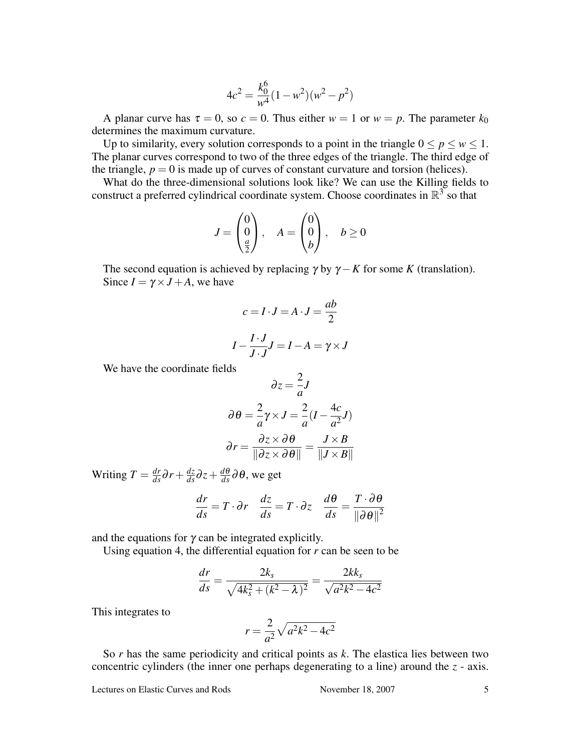$$
4c^2 = \frac{k_0^6}{w^4}(1 - w^2)(w^2 - p^2)
$$

A planar curve has  $\tau = 0$ , so  $c = 0$ . Thus either  $w = 1$  or  $w = p$ . The parameter  $k_0$ determines the maximum curvature.

Up to similarity, every solution corresponds to a point in the triangle  $0 \le p \le w \le 1$ . The planar curves correspond to two of the three edges of the triangle. The third edge of the triangle,  $p = 0$  is made up of curves of constant curvature and torsion (helices).

What do the three-dimensional solutions look like? We can use the Killing fields to construct a preferred cylindrical coordinate system. Choose coordinates in  $\mathbb{R}^3$  so that

$$
J = \begin{pmatrix} 0 \\ 0 \\ \frac{a}{2} \end{pmatrix}, \quad A = \begin{pmatrix} 0 \\ 0 \\ b \end{pmatrix}, \quad b \ge 0
$$

The second equation is achieved by replacing  $\gamma$  by  $\gamma - K$  for some *K* (translation). Since  $I = \gamma \times J + A$ , we have

$$
c = I \cdot J = A \cdot J = \frac{ab}{2}
$$

$$
I - \frac{I \cdot J}{J \cdot J} J = I - A = \gamma \times J
$$

We have the coordinate fields

$$
\partial z = \frac{2}{a}J
$$

$$
\partial \theta = \frac{2}{a}\gamma \times J = \frac{2}{a}(I - \frac{4c}{a^2}J)
$$

$$
\partial r = \frac{\partial z \times \partial \theta}{\|\partial z \times \partial \theta\|} = \frac{J \times B}{\|J \times B\|}
$$

Writing  $T = \frac{dr}{ds}\partial r + \frac{dz}{ds}\partial z + \frac{d\theta}{ds}\partial \theta$ , we get

$$
\frac{dr}{ds} = T \cdot \partial r \quad \frac{dz}{ds} = T \cdot \partial z \quad \frac{d\theta}{ds} = \frac{T \cdot \partial \theta}{\|\partial \theta\|^2}
$$

and the equations for  $\gamma$  can be integrated explicitly.

Using equation 4, the differential equation for *r* can be seen to be

$$
\frac{dr}{ds} = \frac{2k_s}{\sqrt{4k_s^2 + (k^2 - \lambda)^2}} = \frac{2kk_s}{\sqrt{a^2k^2 - 4c^2}}
$$

This integrates to

$$
r = \frac{2}{a^2}\sqrt{a^2k^2 - 4c^2}
$$

So *r* has the same periodicity and critical points as *k*. The elastica lies between two concentric cylinders (the inner one perhaps degenerating to a line) around the *z* - axis.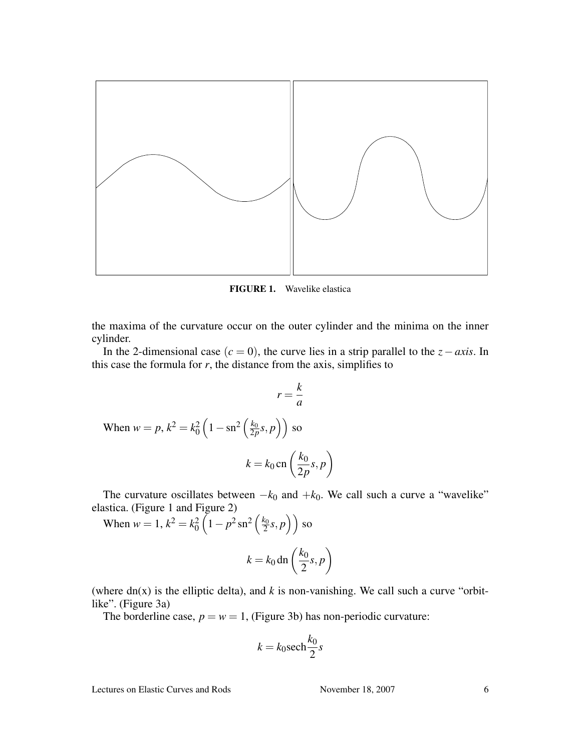

FIGURE 1. Wavelike elastica

the maxima of the curvature occur on the outer cylinder and the minima on the inner cylinder.

In the 2-dimensional case (*c* = 0), the curve lies in a strip parallel to the *z*−*axis*. In this case the formula for  $r$ , the distance from the axis, simplifies to

$$
r = \frac{k}{a}
$$
  
When  $w = p$ ,  $k^2 = k_0^2 \left(1 - \operatorname{sn}^2\left(\frac{k_0}{2p}s, p\right)\right)$  so  

$$
k = k_0 \operatorname{cn}\left(\frac{k_0}{2p}s, p\right)
$$

The curvature oscillates between  $-k_0$  and  $+k_0$ . We call such a curve a "wavelike" elastica. (Figure 1 and Figure 2)  $\frac{1}{2}$  $\overline{a}$  $\ddot{\mathbf{r}}$ 

When  $w = 1, k^2 = k_0^2$  $1-p^2 \text{sn}^2$ *k*0  $\frac{\zeta_0}{2}$ s, *p* so  $k = k_0$  dn  $\left($ *k*0 2 *s*, *p*  $\mathbf{r}$ 

(where  $dn(x)$  is the elliptic delta), and  $k$  is non-vanishing. We call such a curve "orbitlike". (Figure 3a)

The borderline case,  $p = w = 1$ , (Figure 3b) has non-periodic curvature:

$$
k = k_0 \operatorname{sech} \frac{k_0}{2} s
$$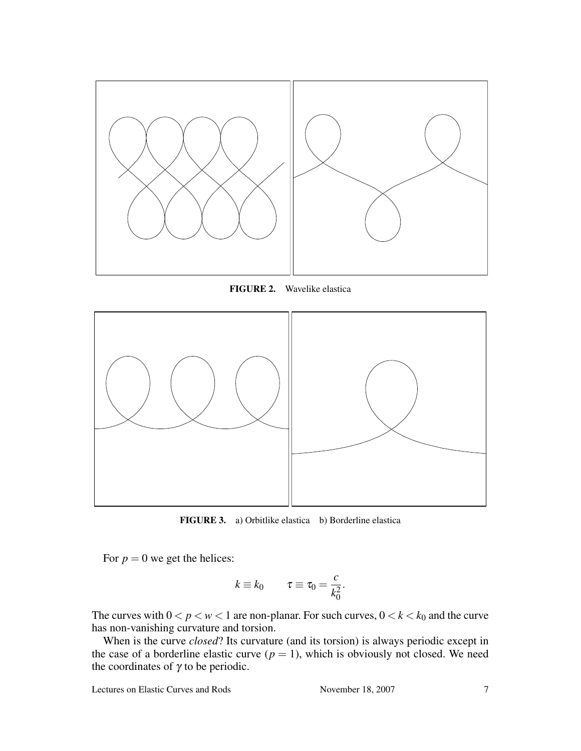

FIGURE 2. Wavelike elastica



FIGURE 3. a) Orbitlike elastica b) Borderline elastica

For  $p = 0$  we get the helices:

$$
k \equiv k_0 \qquad \tau \equiv \tau_0 = \frac{c}{k_0^2}.
$$

The curves with  $0 < p < w < 1$  are non-planar. For such curves,  $0 < k < k_0$  and the curve has non-vanishing curvature and torsion.

When is the curve *closed*? Its curvature (and its torsion) is always periodic except in the case of a borderline elastic curve  $(p = 1)$ , which is obviously not closed. We need the coordinates of  $\gamma$  to be periodic.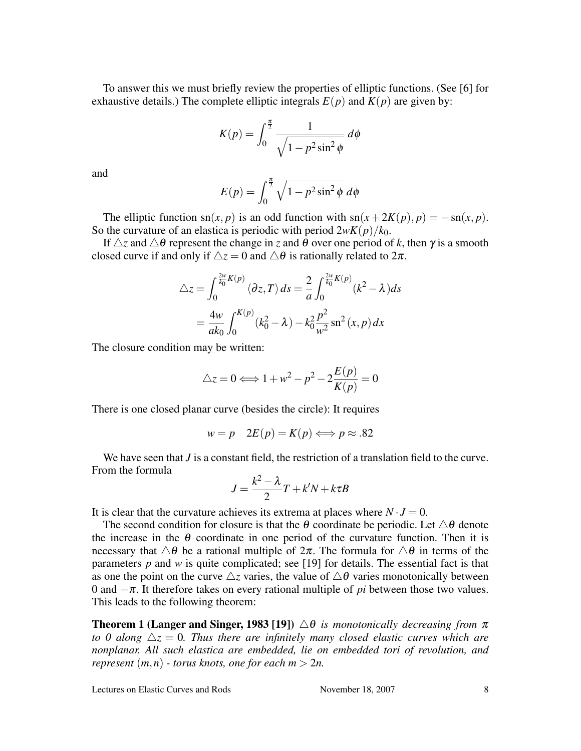To answer this we must briefly review the properties of elliptic functions. (See [6] for exhaustive details.) The complete elliptic integrals  $E(p)$  and  $K(p)$  are given by:

$$
K(p) = \int_0^{\frac{\pi}{2}} \frac{1}{\sqrt{1 - p^2 \sin^2 \phi}} d\phi
$$

and

$$
E(p) = \int_0^{\frac{\pi}{2}} \sqrt{1 - p^2 \sin^2 \phi} \, d\phi
$$

The elliptic function sn(*x*, *p*) is an odd function with sn( $x + 2K(p)$ ,  $p$ ) = −sn(*x*, *p*). So the curvature of an elastica is periodic with period  $2wK(p)/k_0$ .

If  $\triangle z$  and  $\triangle \theta$  represent the change in *z* and  $\theta$  over one period of *k*, then  $\gamma$  is a smooth closed curve if and only if  $\Delta z = 0$  and  $\Delta \theta$  is rationally related to  $2\pi$ .

$$
\Delta z = \int_0^{\frac{2w}{k_0}K(p)} \langle \partial z, T \rangle ds = \frac{2}{a} \int_0^{\frac{2w}{k_0}K(p)} (k^2 - \lambda) ds
$$

$$
= \frac{4w}{ak_0} \int_0^{K(p)} (k_0^2 - \lambda) - k_0^2 \frac{p^2}{w^2} \operatorname{sn}^2(x, p) dx
$$

The closure condition may be written:

$$
\triangle z = 0 \Longleftrightarrow 1 + w^2 - p^2 - 2\frac{E(p)}{K(p)} = 0
$$

There is one closed planar curve (besides the circle): It requires

$$
w = p \quad 2E(p) = K(p) \Longleftrightarrow p \approx .82
$$

We have seen that *J* is a constant field, the restriction of a translation field to the curve. From the formula

$$
J = \frac{k^2 - \lambda}{2}T + k'N + k\tau B
$$

It is clear that the curvature achieves its extrema at places where  $N \cdot J = 0$ .

The second condition for closure is that the  $\theta$  coordinate be periodic. Let  $\triangle \theta$  denote the increase in the  $\theta$  coordinate in one period of the curvature function. Then it is necessary that  $\Delta\theta$  be a rational multiple of  $2\pi$ . The formula for  $\Delta\theta$  in terms of the parameters *p* and *w* is quite complicated; see [19] for details. The essential fact is that as one the point on the curve  $\Delta z$  varies, the value of  $\Delta \theta$  varies monotonically between 0 and −π. It therefore takes on every rational multiple of *pi* between those two values. This leads to the following theorem:

**Theorem 1 (Langer and Singer, 1983 [19])**  $\triangle \theta$  *is monotonically decreasing from*  $\pi$ *to 0 along*  $\Delta z = 0$ . Thus there are infinitely many closed elastic curves which are *nonplanar. All such elastica are embedded, lie on embedded tori of revolution, and represent*  $(m, n)$  *- torus knots, one for each*  $m > 2n$ .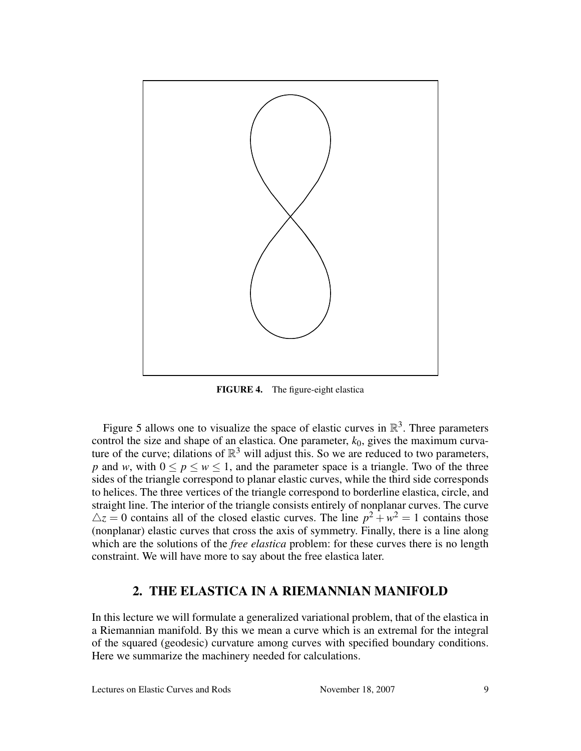

FIGURE 4. The figure-eight elastica

Figure 5 allows one to visualize the space of elastic curves in  $\mathbb{R}^3$ . Three parameters control the size and shape of an elastica. One parameter,  $k_0$ , gives the maximum curvature of the curve; dilations of  $\mathbb{R}^3$  will adjust this. So we are reduced to two parameters, *p* and *w*, with  $0 \le p \le w \le 1$ , and the parameter space is a triangle. Two of the three sides of the triangle correspond to planar elastic curves, while the third side corresponds to helices. The three vertices of the triangle correspond to borderline elastica, circle, and straight line. The interior of the triangle consists entirely of nonplanar curves. The curve  $\Delta z = 0$  contains all of the closed elastic curves. The line  $p^2 + w^2 = 1$  contains those (nonplanar) elastic curves that cross the axis of symmetry. Finally, there is a line along which are the solutions of the *free elastica* problem: for these curves there is no length constraint. We will have more to say about the free elastica later.

## 2. THE ELASTICA IN A RIEMANNIAN MANIFOLD

In this lecture we will formulate a generalized variational problem, that of the elastica in a Riemannian manifold. By this we mean a curve which is an extremal for the integral of the squared (geodesic) curvature among curves with specified boundary conditions. Here we summarize the machinery needed for calculations.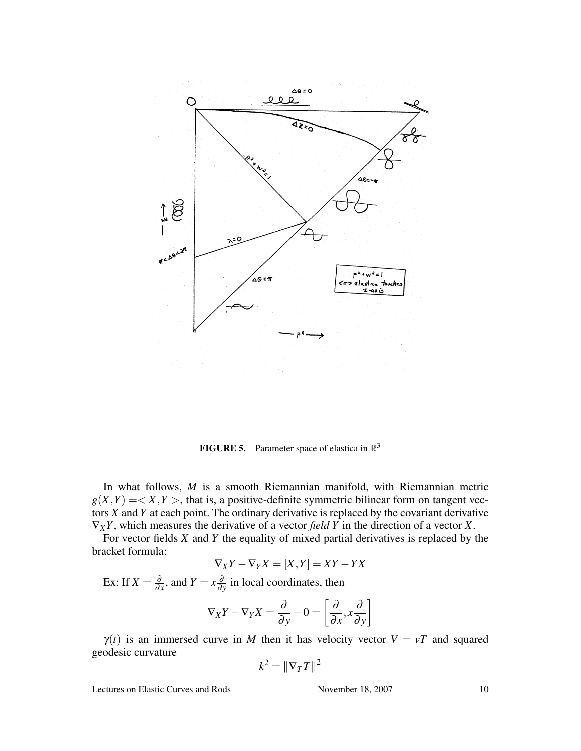

**FIGURE 5.** Parameter space of elastica in  $\mathbb{R}^3$ 

In what follows, *M* is a smooth Riemannian manifold, with Riemannian metric  $g(X,Y) = < X, Y >$ , that is, a positive-definite symmetric bilinear form on tangent vectors *X* and *Y* at each point. The ordinary derivative is replaced by the covariant derivative ∇*XY*, which measures the derivative of a vector *field Y* in the direction of a vector *X*.

For vector fields *X* and *Y* the equality of mixed partial derivatives is replaced by the bracket formula:

$$
\nabla_X Y - \nabla_Y X = [X, Y] = XY - YX
$$

Ex: If  $X = \frac{\partial}{\partial x}$  $\frac{\partial}{\partial x}$ , and  $Y = x \frac{\partial}{\partial y}$  $\frac{\partial}{\partial y}$  in local coordinates, then

$$
\nabla_X Y - \nabla_Y X = \frac{\partial}{\partial y} - 0 = \left[ \frac{\partial}{\partial x}, x \frac{\partial}{\partial y} \right]
$$

 $\gamma(t)$  is an immersed curve in *M* then it has velocity vector  $V = vT$  and squared geodesic curvature

$$
k^2 = \left\|\nabla_T T\right\|^2
$$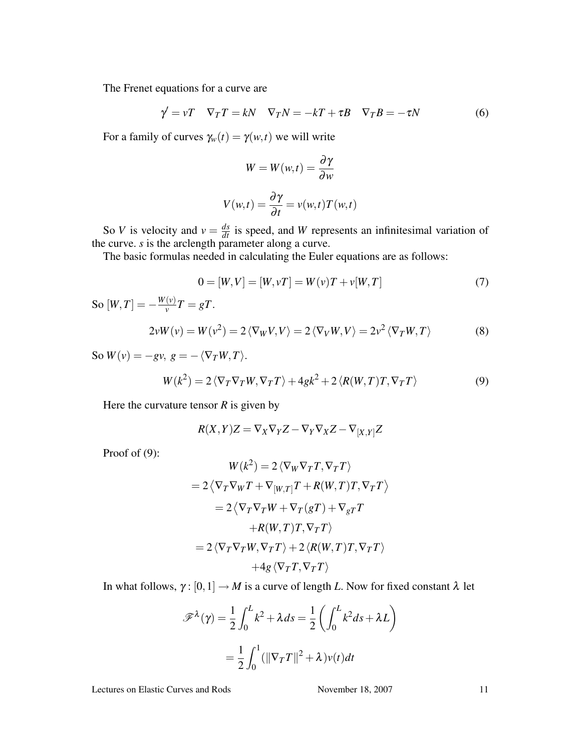The Frenet equations for a curve are

$$
\gamma' = vT \quad \nabla_T T = kN \quad \nabla_T N = -kT + \tau B \quad \nabla_T B = -\tau N \tag{6}
$$

For a family of curves  $\gamma_w(t) = \gamma(w,t)$  we will write

$$
W = W(w,t) = \frac{\partial \gamma}{\partial w}
$$

$$
V(w,t) = \frac{\partial \gamma}{\partial t} = v(w,t)T(w,t)
$$

So *V* is velocity and  $v = \frac{ds}{dt}$  is speed, and *W* represents an infinitesimal variation of the curve. *s* is the arclength parameter along a curve.

The basic formulas needed in calculating the Euler equations are as follows:

$$
0 = [W, V] = [W, vT] = W(v)T + v[W, T]
$$
\n(7)

 $\text{So } [W, T] = -\frac{W(v)}{v}$  $\frac{(v)}{v}T = gT.$ 

$$
2\nu W(v) = W(v^2) = 2 \langle \nabla_W V, V \rangle = 2 \langle \nabla_V W, V \rangle = 2v^2 \langle \nabla_T W, T \rangle \tag{8}
$$

So  $W(v) = -gv$ ,  $g = -\langle \nabla_T W, T \rangle$ .

$$
W(k^2) = 2\langle \nabla_T \nabla_T W, \nabla_T T \rangle + 4gk^2 + 2\langle R(W, T)T, \nabla_T T \rangle \tag{9}
$$

Here the curvature tensor  $R$  is given by

$$
R(X,Y)Z = \nabla_X \nabla_Y Z - \nabla_Y \nabla_X Z - \nabla_{[X,Y]} Z
$$

Proof of (9):

$$
W(k^2) = 2 \langle \nabla_W \nabla_T T, \nabla_T T \rangle
$$
  
= 2 \langle \nabla\_T \nabla\_W T + \nabla\_{[W,T]} T + R(W,T) T, \nabla\_T T \rangle  
= 2 \langle \nabla\_T \nabla\_T W + \nabla\_T (gT) + \nabla\_{gT} T  
+ R(W,T) T, \nabla\_T T \rangle  
= 2 \langle \nabla\_T \nabla\_T W, \nabla\_T T \rangle + 2 \langle R(W,T) T, \nabla\_T T \rangle  
+ 4g \langle \nabla\_T T, \nabla\_T T \rangle

In what follows,  $\gamma : [0,1] \to M$  is a curve of length *L*. Now for fixed constant  $\lambda$  let

$$
\mathscr{F}^{\lambda}(\gamma) = \frac{1}{2} \int_0^L k^2 + \lambda ds = \frac{1}{2} \left( \int_0^L k^2 ds + \lambda L \right)
$$

$$
= \frac{1}{2} \int_0^1 (\|\nabla_T T\|^2 + \lambda) v(t) dt
$$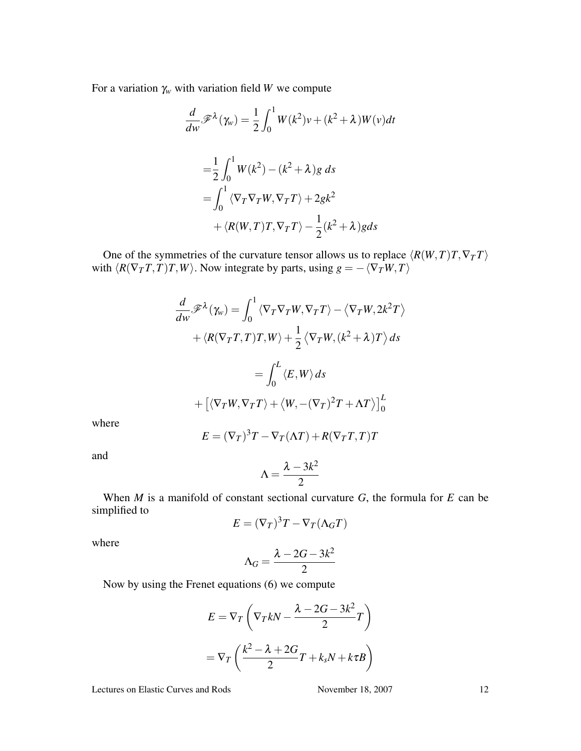For a variation  $\gamma_w$  with variation field *W* we compute

$$
\frac{d}{dw}\mathscr{F}^{\lambda}(\gamma_w) = \frac{1}{2} \int_0^1 W(k^2)v + (k^2 + \lambda)W(v)dt
$$

$$
= \frac{1}{2} \int_0^1 W(k^2) - (k^2 + \lambda)g \, ds
$$

$$
= \int_0^1 \langle \nabla_T \nabla_T W, \nabla_T T \rangle + 2gk^2
$$

$$
+ \langle R(W, T)T, \nabla_T T \rangle - \frac{1}{2}(k^2 + \lambda)g ds
$$

One of the symmetries of the curvature tensor allows us to replace  $\langle R(W,T)T, \nabla_T T \rangle$ with  $\langle R(\nabla_T T, T)T, W \rangle$ . Now integrate by parts, using  $g = -\langle \nabla_T W, T \rangle$ 

$$
\frac{d}{dw}\mathscr{F}^{\lambda}(\gamma_w) = \int_0^1 \langle \nabla_T \nabla_T W, \nabla_T T \rangle - \langle \nabla_T W, 2k^2 T \rangle
$$

$$
+ \langle R(\nabla_T T, T)T, W \rangle + \frac{1}{2} \langle \nabla_T W, (k^2 + \lambda)T \rangle ds
$$

$$
= \int_0^L \langle E, W \rangle ds
$$

$$
+ \left[ \langle \nabla_T W, \nabla_T T \rangle + \langle W, -(\nabla_T)^2 T + \Lambda T \rangle \right]_0^L
$$

where

$$
E = (\nabla_T)^3 T - \nabla_T (\Lambda T) + R(\nabla_T T, T) T
$$

and

$$
\Lambda = \frac{\lambda - 3k^2}{2}
$$

When *M* is a manifold of constant sectional curvature *G*, the formula for *E* can be simplified to

$$
E=(\nabla_T)^3T-\nabla_T(\Lambda_GT)
$$

where

$$
\Lambda_G = \frac{\lambda - 2G - 3k^2}{2}
$$

Now by using the Frenet equations (6) we compute

$$
E = \nabla_T \left( \nabla_T k N - \frac{\lambda - 2G - 3k^2}{2} T \right)
$$

$$
= \nabla_T \left( \frac{k^2 - \lambda + 2G}{2} T + k_s N + k \tau B \right)
$$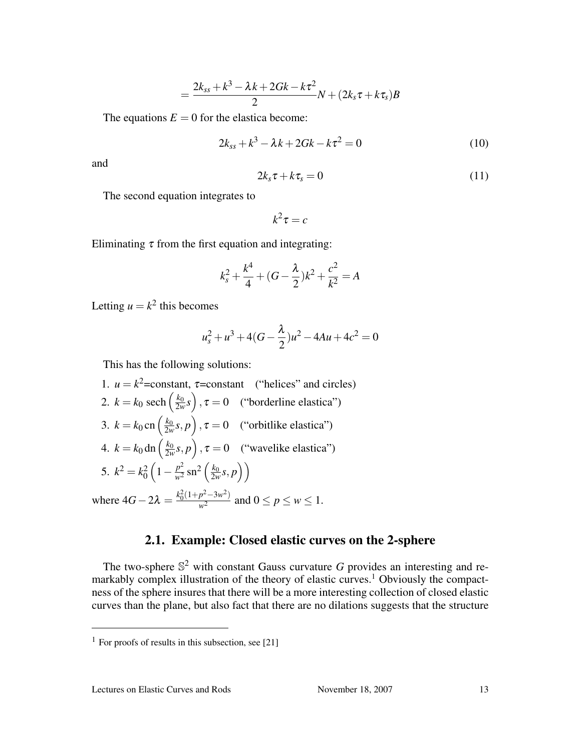$$
=\frac{2k_{ss}+k^3-\lambda k+2Gk-k\tau^2}{2}N+(2k_s\tau+k\tau_s)B
$$

The equations  $E = 0$  for the elastica become:

$$
2k_{ss} + k^3 - \lambda k + 2Gk - k\tau^2 = 0
$$
 (10)

and

$$
2k_s\tau + k\tau_s = 0\tag{11}
$$

The second equation integrates to

$$
k^2\tau=c
$$

Eliminating  $\tau$  from the first equation and integrating:

$$
k_s^2 + \frac{k^4}{4} + (G - \frac{\lambda}{2})k^2 + \frac{c^2}{k^2} = A
$$

Letting  $u = k^2$  this becomes

$$
u_s^2 + u^3 + 4(G - \frac{\lambda}{2})u^2 - 4Au + 4c^2 = 0
$$

This has the following solutions:

\n- 1. 
$$
u = k^2
$$
 = constant,  $\tau$  = constant ("helices" and circles)
\n- 2.  $k = k_0 \operatorname{sech}\left(\frac{k_0}{2w}s\right), \tau = 0$  ("borderline elastica")
\n- 3.  $k = k_0 \operatorname{cn}\left(\frac{k_0}{2w}s, p\right), \tau = 0$  ("orbitlike elastica")
\n- 4.  $k = k_0 \operatorname{dn}\left(\frac{k_0}{2w}s, p\right), \tau = 0$  ("wavelike elastica")
\n- 5.  $k^2 = k_0^2 \left(1 - \frac{p^2}{w^2} \operatorname{sn}^2\left(\frac{k_0}{2w}s, p\right)\right)$
\n- where  $4G - 2\lambda = \frac{k_0^2(1 + p^2 - 3w^2)}{w^2}$  and  $0 \leq p \leq w \leq 1$ .
\n

## 2.1. Example: Closed elastic curves on the 2-sphere

The two-sphere  $\mathbb{S}^2$  with constant Gauss curvature G provides an interesting and remarkably complex illustration of the theory of elastic curves.<sup>1</sup> Obviously the compactness of the sphere insures that there will be a more interesting collection of closed elastic curves than the plane, but also fact that there are no dilations suggests that the structure

<sup>&</sup>lt;sup>1</sup> For proofs of results in this subsection, see [21]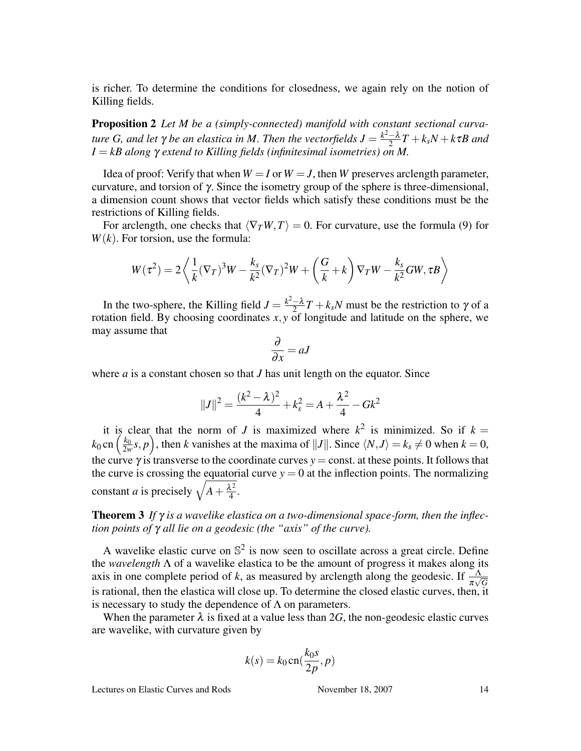is richer. To determine the conditions for closedness, we again rely on the notion of Killing fields.

Proposition 2 *Let M be a (simply-connected) manifold with constant sectional curvature G*, and let  $γ$  *be an elastica in M*. Then the vectorfields  $J = \frac{k^2 - λ}{2}$  $\frac{-\lambda}{2}T + k_{s}N + k\tau B$  and *I* = *kB along* γ *extend to Killing fields (infinitesimal isometries) on M.*

Idea of proof: Verify that when  $W = I$  or  $W = J$ , then *W* preserves arclength parameter, curvature, and torsion of γ. Since the isometry group of the sphere is three-dimensional, a dimension count shows that vector fields which satisfy these conditions must be the restrictions of Killing fields.

For arclength, one checks that  $\langle \nabla_T W, T \rangle = 0$ . For curvature, use the formula (9) for *W*(*k*). For torsion, use the formula:

$$
W(\tau^2) = 2\left\langle \frac{1}{k}(\nabla_T)^3 W - \frac{k_s}{k^2}(\nabla_T)^2 W + \left(\frac{G}{k} + k\right) \nabla_T W - \frac{k_s}{k^2} GW, \tau B \right\rangle
$$

In the two-sphere, the Killing field  $J = \frac{k^2 - \lambda}{2}$  $\frac{-\lambda}{2}T + k_s N$  must be the restriction to  $\gamma$  of a rotation field. By choosing coordinates  $x, y$  of longitude and latitude on the sphere, we may assume that

$$
\frac{\partial}{\partial x} = aJ
$$

where *a* is a constant chosen so that *J* has unit length on the equator. Since

$$
||J||^{2} = \frac{(k^{2} - \lambda)^{2}}{4} + k_{s}^{2} = A + \frac{\lambda^{2}}{4} - Gk^{2}
$$

it is clear that the norm of *J* is maximized where  $k^2$  is minimized. So if  $k = k_0$  cn  $\left(\frac{k_0}{2w}s, p\right)$ , then *k* vanishes at the maxima of  $||J||$ . Since  $\langle N, J \rangle = k_s \neq 0$  when  $k = 0$ ,  $\frac{k_0}{2w}$ s, *p* ´ , then *k* vanishes at the maxima of  $||J||$ . Since  $\langle N, J \rangle = k_s \neq 0$  when  $k = 0$ , the curve  $\gamma$  is transverse to the coordinate curves  $y = const.$  at these points. It follows that the curve is crossing the equatorial curve  $y = 0$  at the inflection points. The normalizing the curve is crossing the equator<br>constant *a* is precisely  $\sqrt{A + \frac{\lambda^2}{4}}$  $\frac{L^2}{4}$ .

### Theorem 3 *If* γ *is a wavelike elastica on a two-dimensional space-form, then the inflection points of* γ *all lie on a geodesic (the "axis" of the curve).*

A wavelike elastic curve on  $\mathbb{S}^2$  is now seen to oscillate across a great circle. Define the *wavelength* Λ of a wavelike elastica to be the amount of progress it makes along its axis in one complete period of *k*, as measured by arclength along the geodesic. If  $\frac{\Delta}{\pi\sqrt{G}}$ is rational, then the elastica will close up. To determine the closed elastic curves, then, it is necessary to study the dependence of  $\Lambda$  on parameters.

When the parameter  $\lambda$  is fixed at a value less than 2G, the non-geodesic elastic curves are wavelike, with curvature given by

$$
k(s) = k_0 \operatorname{cn}(\frac{k_0 s}{2p}, p)
$$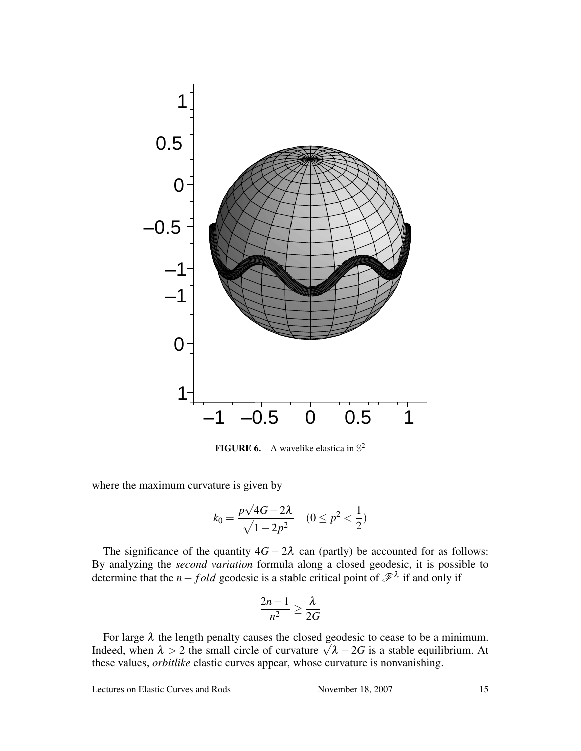

**FIGURE 6.** A wavelike elastica in  $\mathbb{S}^2$ 

where the maximum curvature is given by

$$
k_0 = \frac{p\sqrt{4G - 2\lambda}}{\sqrt{1 - 2p^2}} \quad (0 \le p^2 < \frac{1}{2})
$$

The significance of the quantity  $4G - 2\lambda$  can (partly) be accounted for as follows: By analyzing the *second variation* formula along a closed geodesic, it is possible to determine that the *n* − *fold* geodesic is a stable critical point of  $\mathscr{F}^{\lambda}$  if and only if

$$
\frac{2n-1}{n^2} \ge \frac{\lambda}{2G}
$$

For large  $\lambda$  the length penalty causes the closed geodesic to cease to be a minimum. For large  $\lambda$  the length penalty causes the closed geodesic to cease to be a minimum.<br>Indeed, when  $\lambda > 2$  the small circle of curvature  $\sqrt{\lambda - 2G}$  is a stable equilibrium. At these values, *orbitlike* elastic curves appear, whose curvature is nonvanishing.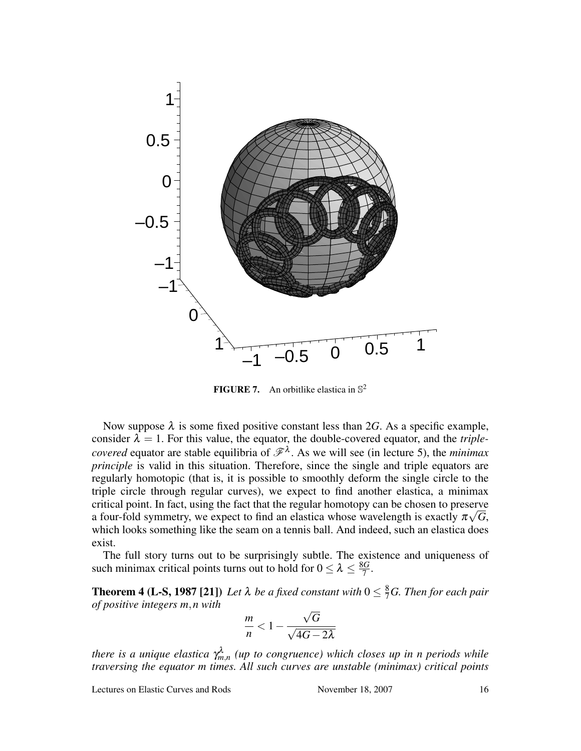

**FIGURE 7.** An orbitlike elastica in  $\mathbb{S}^2$ 

Now suppose  $\lambda$  is some fixed positive constant less than 2*G*. As a specific example, consider  $\lambda = 1$ . For this value, the equator, the double-covered equator, and the *triplecovered* equator are stable equilibria of  $\mathscr{F}^{\lambda}$ . As we will see (in lecture 5), the *minimax principle* is valid in this situation. Therefore, since the single and triple equators are regularly homotopic (that is, it is possible to smoothly deform the single circle to the triple circle through regular curves), we expect to find another elastica, a minimax critical point. In fact, using the fact that the regular homotopy can be chosen to preserve √ a four-fold symmetry, we expect to find an elastica whose wavelength is exactly  $\pi\sqrt{G}$ , which looks something like the seam on a tennis ball. And indeed, such an elastica does exist.

The full story turns out to be surprisingly subtle. The existence and uniqueness of such minimax critical points turns out to hold for  $0 \leq \lambda \leq \frac{8G}{7}$  $\frac{3G}{7}$  .

**Theorem 4 (L-S, 1987 [21])** Let  $\lambda$  be a fixed constant with  $0 \leq \frac{8}{7}G$ . Then for each pair *of positive integers m*,*n with* √

$$
\frac{m}{n} < 1 - \frac{\sqrt{G}}{\sqrt{4G - 2\lambda}}
$$

*there is a unique elastica* γ λ *m*,*n (up to congruence) which closes up in n periods while traversing the equator m times. All such curves are unstable (minimax) critical points*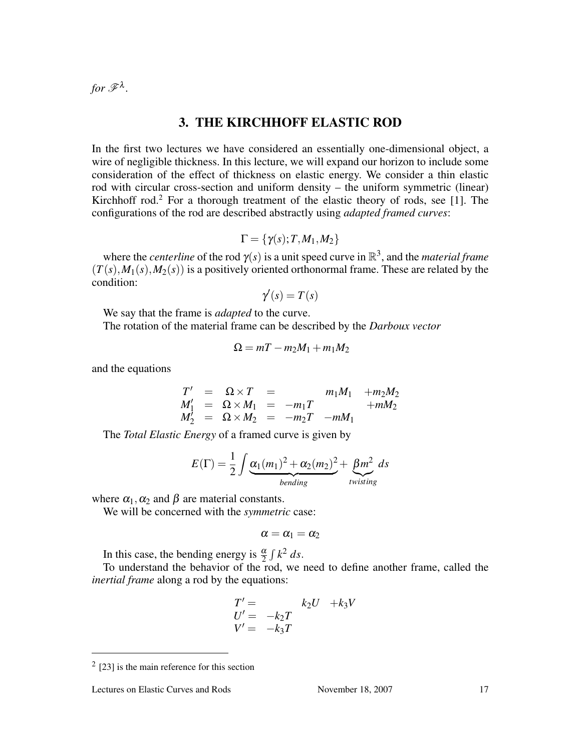for  $\mathscr{F}^{\lambda}$ .

## 3. THE KIRCHHOFF ELASTIC ROD

In the first two lectures we have considered an essentially one-dimensional object, a wire of negligible thickness. In this lecture, we will expand our horizon to include some consideration of the effect of thickness on elastic energy. We consider a thin elastic rod with circular cross-section and uniform density – the uniform symmetric (linear) Kirchhoff rod.<sup>2</sup> For a thorough treatment of the elastic theory of rods, see [1]. The configurations of the rod are described abstractly using *adapted framed curves*:

$$
\Gamma = \{ \gamma(s); T, M_1, M_2 \}
$$

where the *centerline* of the rod  $\gamma(s)$  is a unit speed curve in  $\mathbb{R}^3$ , and the *material frame*  $(T(s), M_1(s), M_2(s))$  is a positively oriented orthonormal frame. These are related by the condition:

$$
\gamma'(s) = T(s)
$$

We say that the frame is *adapted* to the curve.

The rotation of the material frame can be described by the *Darboux vector*

$$
\Omega = mT - m_2M_1 + m_1M_2
$$

and the equations

$$
T' = \Omega \times T = m_1 M_1 + m_2 M_2
$$
  
\n
$$
M'_1 = \Omega \times M_1 = -m_1 T + m M_2
$$
  
\n
$$
M'_2 = \Omega \times M_2 = -m_2 T - m M_1
$$

The *Total Elastic Energy* of a framed curve is given by

$$
E(\Gamma) = \frac{1}{2} \int \underbrace{\alpha_1(m_1)^2 + \alpha_2(m_2)^2}_{bending} + \underbrace{\beta m^2}_{twisting} ds
$$

where  $\alpha_1, \alpha_2$  and  $\beta$  are material constants.

We will be concerned with the *symmetric* case:

$$
\alpha=\alpha_1=\alpha_2
$$

In this case, the bending energy is  $\frac{\alpha}{2}$  $\int k^2 ds$ .

To understand the behavior of the rod, we need to define another frame, called the *inertial frame* along a rod by the equations:

$$
T' = k_2 U + k_3 V
$$
  
\n
$$
U' = -k_2 T
$$
  
\n
$$
V' = -k_3 T
$$

 $2$  [23] is the main reference for this section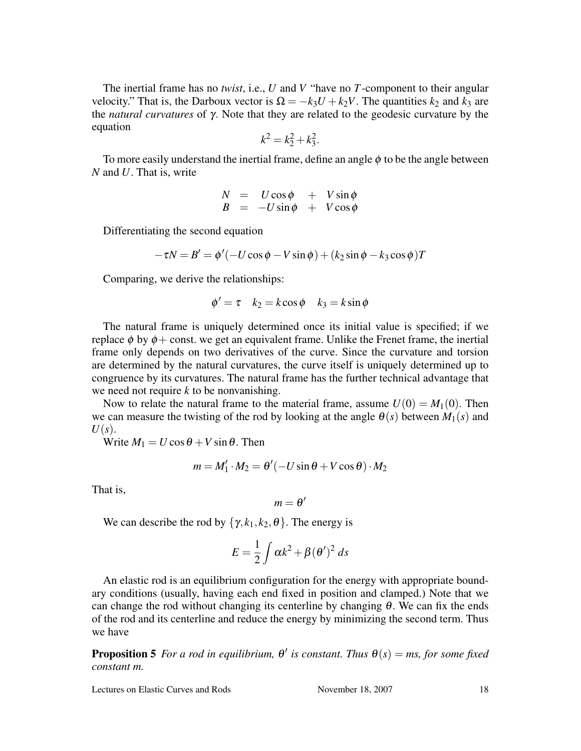The inertial frame has no *twist*, i.e., *U* and *V* "have no *T*-component to their angular velocity." That is, the Darboux vector is  $\Omega = -k_3 U + k_2 V$ . The quantities  $k_2$  and  $k_3$  are the *natural curvatures* of γ. Note that they are related to the geodesic curvature by the equation

$$
k^2 = k_2^2 + k_3^2.
$$

To more easily understand the inertial frame, define an angle  $\phi$  to be the angle between *N* and *U*. That is, write

$$
\begin{array}{rcl}\nN & = & U\cos\phi & + & V\sin\phi \\
B & = & -U\sin\phi & + & V\cos\phi\n\end{array}
$$

Differentiating the second equation

$$
-\tau N = B' = \phi'(-U\cos\phi - V\sin\phi) + (k_2\sin\phi - k_3\cos\phi)T
$$

Comparing, we derive the relationships:

$$
\phi' = \tau \quad k_2 = k \cos \phi \quad k_3 = k \sin \phi
$$

The natural frame is uniquely determined once its initial value is specified; if we replace  $\phi$  by  $\phi$  + const. we get an equivalent frame. Unlike the Frenet frame, the inertial frame only depends on two derivatives of the curve. Since the curvature and torsion are determined by the natural curvatures, the curve itself is uniquely determined up to congruence by its curvatures. The natural frame has the further technical advantage that we need not require *k* to be nonvanishing.

Now to relate the natural frame to the material frame, assume  $U(0) = M_1(0)$ . Then we can measure the twisting of the rod by looking at the angle  $\theta(s)$  between  $M_1(s)$  and *U*(*s*).

Write  $M_1 = U \cos \theta + V \sin \theta$ . Then

$$
m = M'_1 \cdot M_2 = \theta'(-U \sin \theta + V \cos \theta) \cdot M_2
$$

That is,

$$
m=\theta'
$$

We can describe the rod by  $\{\gamma, k_1, k_2, \theta\}$ . The energy is

$$
E = \frac{1}{2} \int \alpha k^2 + \beta (\theta')^2 ds
$$

An elastic rod is an equilibrium configuration for the energy with appropriate boundary conditions (usually, having each end fixed in position and clamped.) Note that we can change the rod without changing its centerline by changing  $\theta$ . We can fix the ends of the rod and its centerline and reduce the energy by minimizing the second term. Thus we have

**Proposition 5** For a rod in equilibrium,  $\theta'$  is constant. Thus  $\theta(s) = ms$ , for some fixed *constant m.*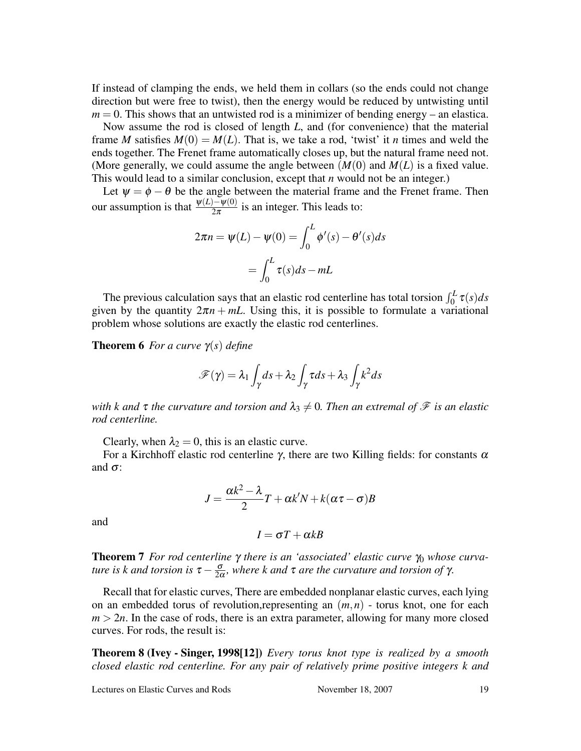If instead of clamping the ends, we held them in collars (so the ends could not change direction but were free to twist), then the energy would be reduced by untwisting until  $m = 0$ . This shows that an untwisted rod is a minimizer of bending energy – an elastica.

Now assume the rod is closed of length *L*, and (for convenience) that the material frame *M* satisfies  $M(0) = M(L)$ . That is, we take a rod, 'twist' it *n* times and weld the ends together. The Frenet frame automatically closes up, but the natural frame need not. (More generally, we could assume the angle between  $(M(0)$  and  $M(L)$  is a fixed value. This would lead to a similar conclusion, except that *n* would not be an integer.)

Let  $\psi = \phi - \theta$  be the angle between the material frame and the Frenet frame. Then our assumption is that  $\frac{\psi(L)-\psi(0)}{2\pi}$  is an integer. This leads to:

$$
2\pi n = \psi(L) - \psi(0) = \int_0^L \phi'(s) - \theta'(s)ds
$$

$$
= \int_0^L \tau(s)ds - mL
$$

The previous calculation says that an elastic rod centerline has total torsion  $\int_0^L \tau(s) ds$ given by the quantity  $2\pi n + mL$ . Using this, it is possible to formulate a variational problem whose solutions are exactly the elastic rod centerlines.

Theorem 6 *For a curve* γ(*s*) *define*

$$
\mathscr{F}(\gamma) = \lambda_1 \int_{\gamma} ds + \lambda_2 \int_{\gamma} \tau ds + \lambda_3 \int_{\gamma} k^2 ds
$$

*with k* and  $\tau$  *the curvature and torsion and*  $\lambda_3 \neq 0$ *. Then an extremal of*  $\mathcal F$  *is an elastic rod centerline.*

Clearly, when  $\lambda_2 = 0$ , this is an elastic curve.

For a Kirchhoff elastic rod centerline γ, there are two Killing fields: for constants  $α$ and  $\sigma$ :

$$
J = \frac{\alpha k^2 - \lambda}{2}T + \alpha k'N + k(\alpha \tau - \sigma)B
$$

and

$$
I = \sigma T + \alpha k B
$$

**Theorem 7** *For rod centerline* γ *there is an 'associated' elastic curve*  $γ_0$  *whose curvature is k and torsion is*  $\tau - \frac{\sigma}{2\alpha}$ *, where k and*  $\tau$  *are the curvature and torsion of*  $\gamma$ *.* 

Recall that for elastic curves, There are embedded nonplanar elastic curves, each lying on an embedded torus of revolution,representing an (*m*,*n*) - torus knot, one for each  $m > 2n$ . In the case of rods, there is an extra parameter, allowing for many more closed curves. For rods, the result is:

Theorem 8 (Ivey - Singer, 1998[12]) *Every torus knot type is realized by a smooth closed elastic rod centerline. For any pair of relatively prime positive integers k and*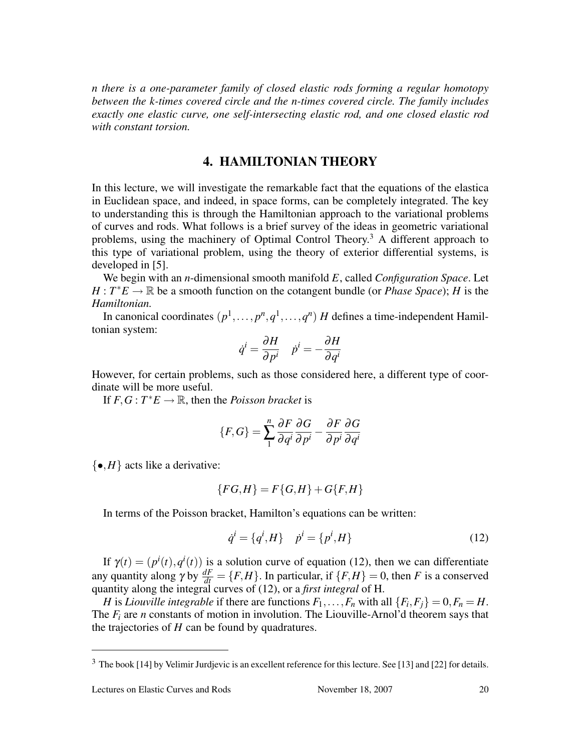*n there is a one-parameter family of closed elastic rods forming a regular homotopy between the k-times covered circle and the n-times covered circle. The family includes exactly one elastic curve, one self-intersecting elastic rod, and one closed elastic rod with constant torsion.*

#### 4. HAMILTONIAN THEORY

In this lecture, we will investigate the remarkable fact that the equations of the elastica in Euclidean space, and indeed, in space forms, can be completely integrated. The key to understanding this is through the Hamiltonian approach to the variational problems of curves and rods. What follows is a brief survey of the ideas in geometric variational problems, using the machinery of Optimal Control Theory.<sup>3</sup> A different approach to this type of variational problem, using the theory of exterior differential systems, is developed in [5].

We begin with an *n*-dimensional smooth manifold *E*, called *Configuration Space*. Let  $H: T^*E \to \mathbb{R}$  be a smooth function on the cotangent bundle (or *Phase Space*); *H* is the *Hamiltonian.*

In canonical coordinates  $(p^1, \ldots, p^n, q^1, \ldots, q^n)$  *H* defines a time-independent Hamiltonian system:

$$
\dot{q}^i = \frac{\partial H}{\partial p^i} \quad \dot{p}^i = -\frac{\partial H}{\partial q^i}
$$

However, for certain problems, such as those considered here, a different type of coordinate will be more useful.

If  $F, G: T^*E \to \mathbb{R}$ , then the *Poisson bracket* is

$$
\{F,G\} = \sum_{1}^{n} \frac{\partial F}{\partial q^i} \frac{\partial G}{\partial p^i} - \frac{\partial F}{\partial p^i} \frac{\partial G}{\partial q^i}
$$

 $\{ \bullet, H \}$  acts like a derivative:

$$
{FG,H} = F{G,H} + G{F,H}
$$

In terms of the Poisson bracket, Hamilton's equations can be written:

$$
\dot{q}^i = \{q^i, H\} \quad \dot{p}^i = \{p^i, H\}
$$
 (12)

If  $\gamma(t) = (p^{i}(t), q^{i}(t))$  is a solution curve of equation (12), then we can differentiate any quantity along  $\gamma$  by  $\frac{dF}{dt} = \{F, H\}$ . In particular, if  $\{F, H\} = 0$ , then *F* is a conserved quantity along the integral curves of (12), or a *first integral* of H.

*H* is *Liouville integrable* if there are functions  $F_1, \ldots, F_n$  with all  $\{F_i, F_j\} = 0, F_n = H$ . The  $F_i$  are *n* constants of motion in involution. The Liouville-Arnol'd theorem says that the trajectories of *H* can be found by quadratures.

<sup>3</sup> The book [14] by Velimir Jurdjevic is an excellent reference for this lecture. See [13] and [22] for details.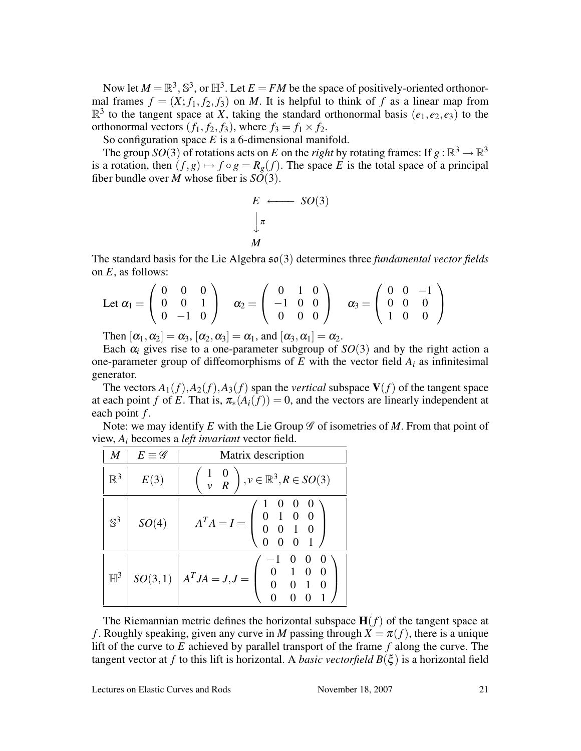Now let  $M = \mathbb{R}^3$ ,  $\mathbb{S}^3$ , or  $\mathbb{H}^3$ . Let  $E = FM$  be the space of positively-oriented orthonormal frames  $f = (X; f_1, f_2, f_3)$  on *M*. It is helpful to think of *f* as a linear map from  $\mathbb{R}^3$  to the tangent space at *X*, taking the standard orthonormal basis  $(e_1, e_2, e_3)$  to the orthonormal vectors  $(f_1, f_2, f_3)$ , where  $f_3 = f_1 \times f_2$ .

So configuration space *E* is a 6-dimensional manifold.

The group *SO*(3) of rotations acts on *E* on the *right* by rotating frames: If  $g : \mathbb{R}^3 \to \mathbb{R}^3$ is a rotation, then  $(f, g) \mapsto f \circ g = R_g(f)$ . The space *E* is the total space of a principal fiber bundle over *M* whose fiber is *SO*(3).

$$
E \longleftarrow SO(3)
$$
  

$$
\downarrow \pi
$$
  

$$
M
$$

The standard basis for the Lie Algebra so(3) determines three *fundamental vector fields* on *E*, as follows:  $\mathbf{r}$ 

Let 
$$
\alpha_1 = \begin{pmatrix} 0 & 0 & 0 \\ 0 & 0 & 1 \\ 0 & -1 & 0 \end{pmatrix}
$$
  $\alpha_2 = \begin{pmatrix} 0 & 1 & 0 \\ -1 & 0 & 0 \\ 0 & 0 & 0 \end{pmatrix}$   $\alpha_3 = \begin{pmatrix} 0 & 0 & -1 \\ 0 & 0 & 0 \\ 1 & 0 & 0 \end{pmatrix}$ 

Then  $[\alpha_1, \alpha_2] = \alpha_3$ ,  $[\alpha_2, \alpha_3] = \alpha_1$ , and  $[\alpha_3, \alpha_1] = \alpha_2$ .

Each  $\alpha_i$  gives rise to a one-parameter subgroup of  $SO(3)$  and by the right action a one-parameter group of diffeomorphisms of  $E$  with the vector field  $A_i$  as infinitesimal generator.

The vectors  $A_1(f)$ ,  $A_2(f)$ ,  $A_3(f)$  span the *vertical* subspace  $V(f)$  of the tangent space at each point *f* of *E*. That is,  $\pi_*(A_i(f)) = 0$ , and the vectors are linearly independent at each point *f* .

Note: we may identify  $E$  with the Lie Group  $\mathscr G$  of isometries of  $M$ . From that point of view, *A<sup>i</sup>* becomes a *left invariant* vector field.

| M              | $E \equiv \mathscr{G}$ | Matrix description                                                                                                            |
|----------------|------------------------|-------------------------------------------------------------------------------------------------------------------------------|
| $\mathbb{R}^3$ | E(3)                   | $\begin{pmatrix} 1 & 0 \\ v & R \end{pmatrix}, v \in \mathbb{R}^3, R \in SO(3)$                                               |
| $\mathbb{S}^3$ | SO(4)                  | $A^T A = I = \left( \begin{array}{cccc} 1 & 0 & 0 & 0 \\ 0 & 1 & 0 & 0 \\ 0 & 0 & 1 & 0 \\ 0 & 0 & 0 & 1 \end{array} \right)$ |
| $\mathbb{H}^3$ |                        | $SO(3,1)$ $A^TJA = J, J = \begin{pmatrix} 0 & 1 & 0 & 0 \\ 0 & 0 & 1 & 0 \\ 0 & 0 & 0 & 1 \end{pmatrix}$                      |

The Riemannian metric defines the horizontal subspace  $H(f)$  of the tangent space at *f*. Roughly speaking, given any curve in *M* passing through  $X = \pi(f)$ , there is a unique lift of the curve to *E* achieved by parallel transport of the frame *f* along the curve. The tangent vector at *f* to this lift is horizontal. A *basic vectorfield*  $B(\xi)$  is a horizontal field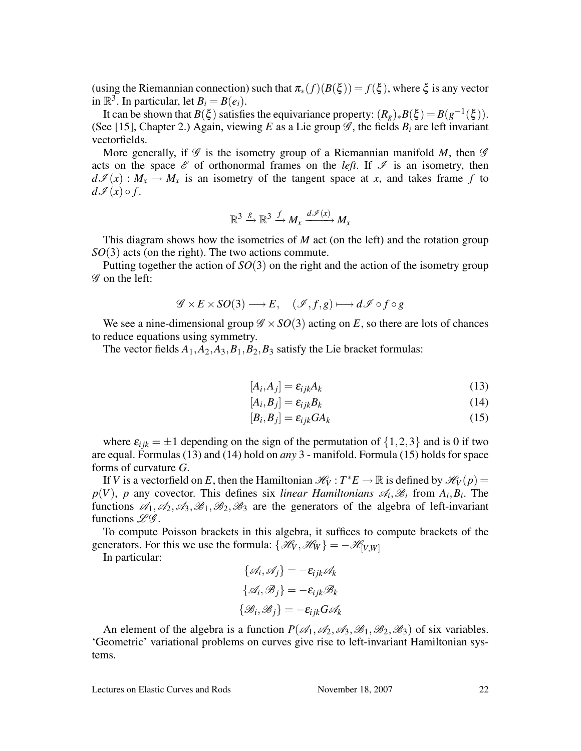(using the Riemannian connection) such that  $\pi_*(f)(B(\xi)) = f(\xi)$ , where  $\xi$  is any vector in  $\mathbb{R}^3$ . In particular, let  $B_i = B(e_i)$ .

It can be shown that  $B(\xi)$  satisfies the equivariance property:  $(R_g)_*B(\xi) = B(g^{-1}(\xi))$ . (See [15], Chapter 2.) Again, viewing *E* as a Lie group  $\mathscr{G}$ , the fields  $B_i$  are left invariant vectorfields.

More generally, if  $\mathscr G$  is the isometry group of a Riemannian manifold M, then  $\mathscr G$ acts on the space  $\mathscr E$  of orthonormal frames on the *left*. If  $\mathscr I$  is an isometry, then  $d\mathcal{I}(x): M_x \to M_x$  is an isometry of the tangent space at *x*, and takes frame f to  $d\mathscr{I}(x) \circ f$ .

$$
\mathbb{R}^3 \xrightarrow{g} \mathbb{R}^3 \xrightarrow{f} M_x \xrightarrow{d \mathscr{I}(x)} M_x
$$

This diagram shows how the isometries of *M* act (on the left) and the rotation group *SO*(3) acts (on the right). The two actions commute.

Putting together the action of *SO*(3) on the right and the action of the isometry group G on the left:

$$
\mathscr{G} \times E \times SO(3) \longrightarrow E, \quad (\mathscr{I}, f, g) \longmapsto d\mathscr{I} \circ f \circ g
$$

We see a nine-dimensional group  $\mathscr{G} \times SO(3)$  acting on *E*, so there are lots of chances to reduce equations using symmetry.

The vector fields  $A_1$ ,  $A_2$ ,  $A_3$ ,  $B_1$ ,  $B_2$ ,  $B_3$  satisfy the Lie bracket formulas:

$$
[A_i, A_j] = \varepsilon_{ijk} A_k \tag{13}
$$

$$
[A_i, B_j] = \varepsilon_{ijk} B_k \tag{14}
$$

$$
[B_i, B_j] = \varepsilon_{ijk} GA_k \tag{15}
$$

where  $\varepsilon_{ijk} = \pm 1$  depending on the sign of the permutation of  $\{1,2,3\}$  and is 0 if two are equal. Formulas (13) and (14) hold on *any* 3 - manifold. Formula (15) holds for space forms of curvature *G*.

If *V* is a vectorfield on *E*, then the Hamiltonian  $\mathcal{H}_V : T^*E \to \mathbb{R}$  is defined by  $\mathcal{H}_V(p) =$  $p(V)$ , *p* any covector. This defines six *linear Hamiltonians*  $\mathscr{A}_i$ ,  $\mathscr{B}_i$  from  $A_i$ ,  $B_i$ . The functions  $\mathscr{A}_1, \mathscr{A}_2, \mathscr{A}_3, \mathscr{B}_1, \mathscr{B}_2, \mathscr{B}_3$  are the generators of the algebra of left-invariant functions  $\mathscr{L}\mathscr{G}$ .

To compute Poisson brackets in this algebra, it suffices to compute brackets of the generators. For this we use the formula:  $\{\mathcal{H}_V, \mathcal{H}_W\} = -\mathcal{H}_{[V,W]}$ 

In particular:

$$
\{\mathcal{A}_i, \mathcal{A}_j\} = -\varepsilon_{ijk} \mathcal{A}_k
$$

$$
\{\mathcal{A}_i, \mathcal{B}_j\} = -\varepsilon_{ijk} \mathcal{B}_k
$$

$$
\{\mathcal{B}_i, \mathcal{B}_j\} = -\varepsilon_{ijk} G \mathcal{A}_k
$$

An element of the algebra is a function  $P(\mathcal{A}_1,\mathcal{A}_2,\mathcal{A}_3,\mathcal{B}_1,\mathcal{B}_2,\mathcal{B}_3)$  of six variables. 'Geometric' variational problems on curves give rise to left-invariant Hamiltonian systems.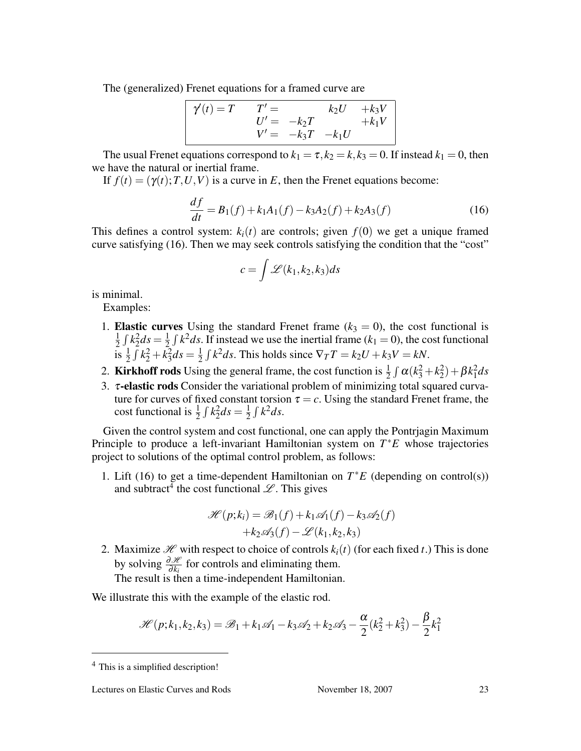The (generalized) Frenet equations for a framed curve are

$$
\begin{array}{rcl}\n\gamma'(t) = T & T' = & k_2 U & + k_3 V \\
U' = & -k_2 T & + k_1 V \\
V' = & -k_3 T & -k_1 U\n\end{array}
$$

The usual Frenet equations correspond to  $k_1 = \tau$ ,  $k_2 = k$ ,  $k_3 = 0$ . If instead  $k_1 = 0$ , then we have the natural or inertial frame.

If  $f(t) = (\gamma(t); T, U, V)$  is a curve in *E*, then the Frenet equations become:

$$
\frac{df}{dt} = B_1(f) + k_1 A_1(f) - k_3 A_2(f) + k_2 A_3(f)
$$
\n(16)

This defines a control system:  $k_i(t)$  are controls; given  $f(0)$  we get a unique framed curve satisfying (16). Then we may seek controls satisfying the condition that the "cost"

$$
c = \int \mathscr{L}(k_1, k_2, k_3) ds
$$

is minimal.

Examples:

- 1. **Elastic curves** Using the standard Frenet frame  $(k_3 = 0)$ , the cost functional is 1  $\frac{1}{2} \int k_2^2 ds = \frac{1}{2}$  $\frac{1}{2} \int k^2 ds$ . If instead we use the inertial frame ( $k_1 = 0$ ), the cost functional  $\frac{1}{1}$ s  $\frac{1}{2}$  $\int k_2^2 + k_3^2 ds = \frac{1}{2}$  $\overline{2}$  $\int k^2 ds$ . This holds since  $\nabla_T T = k_2 U + k_3 V = kN$ .
- 2. **Kirkhoff rods** Using the general frame, the cost function is  $\frac{1}{2} \int \alpha (k_3^2 + k_2^2) + \beta k_1^2 ds$
- 3. <sup>τ</sup>-elastic rods Consider the variational problem of minimizing total squared curvature for curves of fixed constant torsion  $\tau = c$ . Using the standard Frenet frame, the cost functional is  $\frac{1}{2}$  $\int k_2^2 ds = \frac{1}{2}$  $\overline{2}$  $\int k^2 ds$ .

Given the control system and cost functional, one can apply the Pontrjagin Maximum Principle to produce a left-invariant Hamiltonian system on *T* <sup>∗</sup>*E* whose trajectories project to solutions of the optimal control problem, as follows:

1. Lift (16) to get a time-dependent Hamiltonian on  $T^*E$  (depending on control(s)) and subtract<sup>4</sup> the cost functional  $\mathscr{L}$ . This gives

$$
\mathcal{H}(p;k_i) = \mathcal{B}_1(f) + k_1 \mathcal{A}_1(f) - k_3 \mathcal{A}_2(f) + k_2 \mathcal{A}_3(f) - \mathcal{L}(k_1, k_2, k_3)
$$

2. Maximize  $\mathcal{H}$  with respect to choice of controls  $k_i(t)$  (for each fixed *t*.) This is done by solving  $\frac{\partial \mathcal{H}}{\partial k_i}$  for controls and eliminating them.

The result is then a time-independent Hamiltonian.

We illustrate this with the example of the elastic rod.

$$
\mathcal{H}(p;k_1,k_2,k_3) = \mathcal{B}_1 + k_1 \mathcal{A}_1 - k_3 \mathcal{A}_2 + k_2 \mathcal{A}_3 - \frac{\alpha}{2} (k_2^2 + k_3^2) - \frac{\beta}{2} k_1^2
$$

<sup>4</sup> This is a simplified description!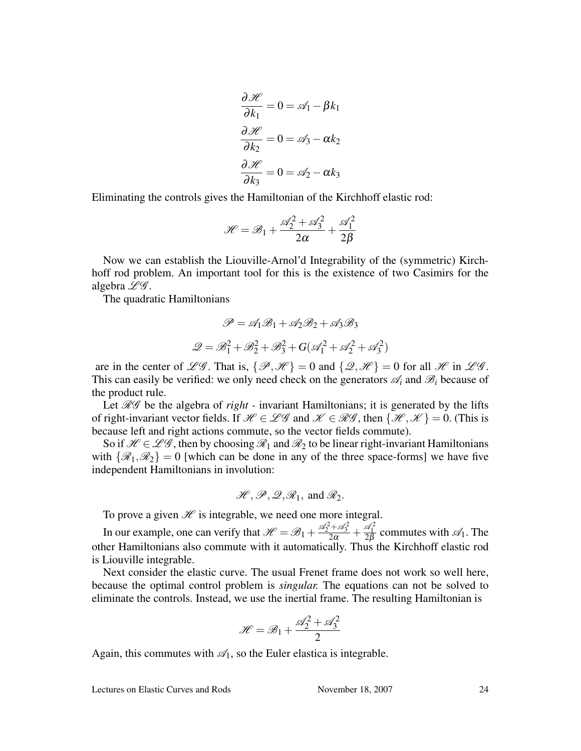$$
\frac{\partial \mathcal{H}}{\partial k_1} = 0 = \mathcal{A}_1 - \beta k_1
$$

$$
\frac{\partial \mathcal{H}}{\partial k_2} = 0 = \mathcal{A}_3 - \alpha k_2
$$

$$
\frac{\partial \mathcal{H}}{\partial k_3} = 0 = \mathcal{A}_2 - \alpha k_3
$$

Eliminating the controls gives the Hamiltonian of the Kirchhoff elastic rod:

$$
\mathcal{H} = \mathcal{B}_1 + \frac{\mathcal{A}_2^2 + \mathcal{A}_3^2}{2\alpha} + \frac{\mathcal{A}_1^2}{2\beta}
$$

Now we can establish the Liouville-Arnol'd Integrability of the (symmetric) Kirchhoff rod problem. An important tool for this is the existence of two Casimirs for the algebra  $\mathscr{L}\mathscr{G}$ .

The quadratic Hamiltonians

$$
\mathcal{P} = \mathcal{A}_1 \mathcal{B}_1 + \mathcal{A}_2 \mathcal{B}_2 + \mathcal{A}_3 \mathcal{B}_3
$$

$$
\mathcal{Q} = \mathcal{B}_1^2 + \mathcal{B}_2^2 + \mathcal{B}_3^2 + G(\mathcal{A}_1^2 + \mathcal{A}_2^2 + \mathcal{A}_3^2)
$$

are in the center of  $\mathscr{L}\mathscr{G}$ . That is,  $\{\mathscr{P},\mathscr{H}\}=0$  and  $\{\mathscr{Q},\mathscr{H}\}=0$  for all  $\mathscr{H}$  in  $\mathscr{L}\mathscr{G}$ . This can easily be verified: we only need check on the generators  $\mathscr{A}_i$  and  $\mathscr{B}_i$  because of the product rule.

Let *RG* be the algebra of *right* - invariant Hamiltonians; it is generated by the lifts of right-invariant vector fields. If  $\mathcal{H} \in \mathcal{LG}$  and  $\mathcal{K} \in \mathcal{RG}$ , then  $\{\mathcal{H}, \mathcal{K}\} = 0$ . (This is because left and right actions commute, so the vector fields commute).

So if  $\mathcal{H} \in \mathcal{L}\mathcal{G}$ , then by choosing  $\mathcal{R}_1$  and  $\mathcal{R}_2$  to be linear right-invariant Hamiltonians with  $\{\mathcal{R}_1,\mathcal{R}_2\}=0$  [which can be done in any of the three space-forms] we have five independent Hamiltonians in involution:

$$
\mathcal{H}, \mathcal{P}, \mathcal{Q}, \mathcal{R}_1
$$
, and  $\mathcal{R}_2$ .

To prove a given  $\mathcal H$  is integrable, we need one more integral.

In our example, one can verify that  $\mathcal{H} = \mathcal{B}_1 + \frac{\mathcal{A}_2^2 + \mathcal{A}_3^2}{2\alpha} + \frac{\mathcal{A}_1^2}{2\beta}$  commutes with  $\mathcal{A}_1$ . The other Hamiltonians also commute with it automatically. Thus the Kirchhoff elastic rod is Liouville integrable.

Next consider the elastic curve. The usual Frenet frame does not work so well here, because the optimal control problem is *singular.* The equations can not be solved to eliminate the controls. Instead, we use the inertial frame. The resulting Hamiltonian is

$$
\mathcal{H} = \mathcal{B}_1 + \frac{\mathcal{A}_2^2 + \mathcal{A}_3^2}{2}
$$

Again, this commutes with  $\mathcal{A}_1$ , so the Euler elastica is integrable.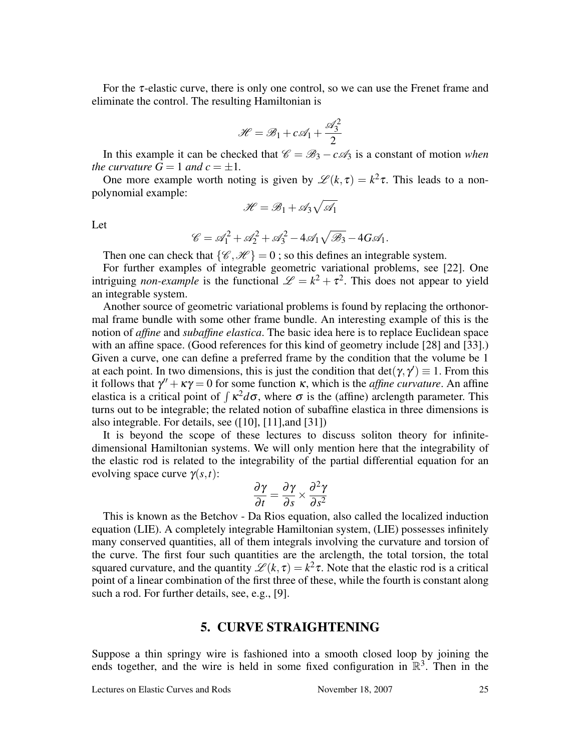For the  $\tau$ -elastic curve, there is only one control, so we can use the Frenet frame and eliminate the control. The resulting Hamiltonian is

$$
\mathcal{H} = \mathcal{B}_1 + c\mathcal{A}_1 + \frac{\mathcal{A}_3^2}{2}
$$

In this example it can be checked that  $\mathcal{C} = \mathcal{B}_3 - c\mathcal{A}_3$  is a constant of motion *when the curvature*  $G = 1$  *and*  $c = \pm 1$ *.* 

One more example worth noting is given by  $\mathscr{L}(k, \tau) = k^2 \tau$ . This leads to a nonpolynomial example: p

$$
\mathscr{H} = \mathscr{B}_1 + \mathscr{A}_3 \sqrt{\mathscr{A}_1}
$$

Let

$$
\mathscr{C} = \mathscr{A}_1^2 + \mathscr{A}_2^2 + \mathscr{A}_3^2 - 4\mathscr{A}_1\sqrt{\mathscr{B}_3} - 4G\mathscr{A}_1.
$$

Then one can check that  $\{\mathscr{C}, \mathscr{H}\} = 0$ ; so this defines an integrable system.

For further examples of integrable geometric variational problems, see [22]. One intriguing *non-example* is the functional  $\mathcal{L} = k^2 + \tau^2$ . This does not appear to yield an integrable system.

Another source of geometric variational problems is found by replacing the orthonormal frame bundle with some other frame bundle. An interesting example of this is the notion of *affine* and *subaffine elastica*. The basic idea here is to replace Euclidean space with an affine space. (Good references for this kind of geometry include [28] and [33].) Given a curve, one can define a preferred frame by the condition that the volume be 1 at each point. In two dimensions, this is just the condition that  $det(\gamma, \gamma') \equiv 1$ . From this it follows that  $\gamma'' + \kappa \gamma = 0$  for some function  $\kappa$ , which is the *affine curvature*. An affine to follows that  $\gamma + \kappa \gamma = 0$  for some function  $\kappa$ , which is the *affine are curvature*. An affine elastica is a critical point of  $\int \kappa^2 d\sigma$ , where  $\sigma$  is the (affine) arclength parameter. This turns out to be integrable; the related notion of subaffine elastica in three dimensions is also integrable. For details, see ([10], [11],and [31])

It is beyond the scope of these lectures to discuss soliton theory for infinitedimensional Hamiltonian systems. We will only mention here that the integrability of the elastic rod is related to the integrability of the partial differential equation for an evolving space curve  $\gamma(s,t)$ :

$$
\frac{\partial \gamma}{\partial t} = \frac{\partial \gamma}{\partial s} \times \frac{\partial^2 \gamma}{\partial s^2}
$$

This is known as the Betchov - Da Rios equation, also called the localized induction equation (LIE). A completely integrable Hamiltonian system, (LIE) possesses infinitely many conserved quantities, all of them integrals involving the curvature and torsion of the curve. The first four such quantities are the arclength, the total torsion, the total squared curvature, and the quantity  $\mathscr{L}(k, \tau) = k^2 \tau$ . Note that the elastic rod is a critical point of a linear combination of the first three of these, while the fourth is constant along such a rod. For further details, see, e.g., [9].

#### 5. CURVE STRAIGHTENING

Suppose a thin springy wire is fashioned into a smooth closed loop by joining the ends together, and the wire is held in some fixed configuration in  $\mathbb{R}^3$ . Then in the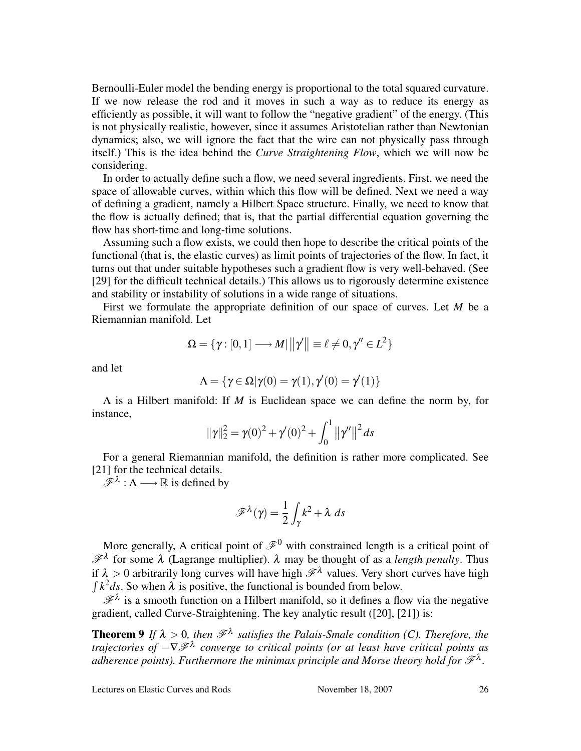Bernoulli-Euler model the bending energy is proportional to the total squared curvature. If we now release the rod and it moves in such a way as to reduce its energy as efficiently as possible, it will want to follow the "negative gradient" of the energy. (This is not physically realistic, however, since it assumes Aristotelian rather than Newtonian dynamics; also, we will ignore the fact that the wire can not physically pass through itself.) This is the idea behind the *Curve Straightening Flow*, which we will now be considering.

In order to actually define such a flow, we need several ingredients. First, we need the space of allowable curves, within which this flow will be defined. Next we need a way of defining a gradient, namely a Hilbert Space structure. Finally, we need to know that the flow is actually defined; that is, that the partial differential equation governing the flow has short-time and long-time solutions.

Assuming such a flow exists, we could then hope to describe the critical points of the functional (that is, the elastic curves) as limit points of trajectories of the flow. In fact, it turns out that under suitable hypotheses such a gradient flow is very well-behaved. (See [29] for the difficult technical details.) This allows us to rigorously determine existence and stability or instability of solutions in a wide range of situations.

First we formulate the appropriate definition of our space of curves. Let *M* be a Riemannian manifold. Let

$$
\Omega = \{ \gamma : [0,1] \longrightarrow M \mid ||\gamma'|| \equiv \ell \neq 0, \gamma'' \in L^2 \}
$$

and let

$$
\Lambda = \{ \gamma \in \Omega | \gamma(0) = \gamma(1), \gamma'(0) = \gamma'(1) \}
$$

Λ is a Hilbert manifold: If *M* is Euclidean space we can define the norm by, for instance,

$$
\|\gamma\|_2^2 = \gamma(0)^2 + \gamma'(0)^2 + \int_0^1 \left\|\gamma'\right\|^2 ds
$$

For a general Riemannian manifold, the definition is rather more complicated. See [21] for the technical details.

 $\mathscr{F}^{\lambda}: \Lambda \longrightarrow \mathbb{R}$  is defined by

$$
\mathscr{F}^{\lambda}(\gamma) = \frac{1}{2} \int_{\gamma} k^2 + \lambda \, ds
$$

More generally, A critical point of  $\mathscr{F}^0$  with constrained length is a critical point of  $\mathscr{F}^{\lambda}$  for some  $\lambda$  (Lagrange multiplier).  $\lambda$  may be thought of as a *length penalty*. Thus if  $\lambda > 0$  arbitrarily long curves will have high  $\mathscr{F}^{\lambda}$  values. Very short curves have high  $\int k^2 ds$ . So when  $\lambda$  is positive, the functional is bounded from below.

 $\mathscr{F}^{\lambda}$  is a smooth function on a Hilbert manifold, so it defines a flow via the negative gradient, called Curve-Straightening. The key analytic result ([20], [21]) is:

**Theorem 9** If  $\lambda > 0$ , then  $\mathscr{F}^{\lambda}$  satisfies the Palais-Smale condition (C). Therefore, the *trajectories of* −∇F<sup>λ</sup> *converge to critical points (or at least have critical points as* adherence points). Furthermore the minimax principle and Morse theory hold for  $\mathscr{F}^{\lambda}$ .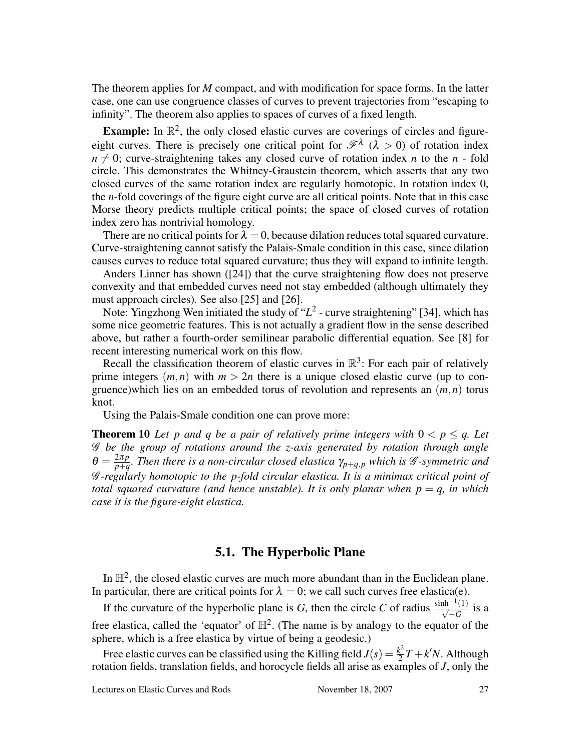The theorem applies for *M* compact, and with modification for space forms. In the latter case, one can use congruence classes of curves to prevent trajectories from "escaping to infinity". The theorem also applies to spaces of curves of a fixed length.

**Example:** In  $\mathbb{R}^2$ , the only closed elastic curves are coverings of circles and figureeight curves. There is precisely one critical point for  $\mathscr{F}^{\lambda}$  ( $\lambda > 0$ ) of rotation index  $n \neq 0$ ; curve-straightening takes any closed curve of rotation index *n* to the *n* - fold circle. This demonstrates the Whitney-Graustein theorem, which asserts that any two closed curves of the same rotation index are regularly homotopic. In rotation index 0, the *n*-fold coverings of the figure eight curve are all critical points. Note that in this case Morse theory predicts multiple critical points; the space of closed curves of rotation index zero has nontrivial homology.

There are no critical points for  $\lambda = 0$ , because dilation reduces total squared curvature. Curve-straightening cannot satisfy the Palais-Smale condition in this case, since dilation causes curves to reduce total squared curvature; thus they will expand to infinite length.

Anders Linner has shown ([24]) that the curve straightening flow does not preserve convexity and that embedded curves need not stay embedded (although ultimately they must approach circles). See also [25] and [26].

Note: Yingzhong Wen initiated the study of  $L^2$  - curve straightening" [34], which has some nice geometric features. This is not actually a gradient flow in the sense described above, but rather a fourth-order semilinear parabolic differential equation. See [8] for recent interesting numerical work on this flow.

Recall the classification theorem of elastic curves in  $\mathbb{R}^3$ : For each pair of relatively prime integers  $(m, n)$  with  $m > 2n$  there is a unique closed elastic curve (up to congruence)which lies on an embedded torus of revolution and represents an (*m*,*n*) torus knot.

Using the Palais-Smale condition one can prove more:

**Theorem 10** Let p and q be a pair of relatively prime integers with  $0 < p \leq q$ . Let G *be the group of rotations around the z-axis generated by rotation through angle*  $\theta = \frac{2\pi p}{p + q}$ *p*+*q . Then there is a non-circular closed elastica* <sup>γ</sup>*p*+*q*,*<sup>p</sup> which is* G *-symmetric and* G *-regularly homotopic to the p-fold circular elastica. It is a minimax critical point of total squared curvature (and hence unstable). It is only planar when*  $p = q$ , in which *case it is the figure-eight elastica.*

## 5.1. The Hyperbolic Plane

In  $\mathbb{H}^2$ , the closed elastic curves are much more abundant than in the Euclidean plane. In particular, there are critical points for  $\lambda = 0$ ; we call such curves free elastica(e).

If the curvature of the hyperbolic plane is *G*, then the circle *C* of radius  $\frac{\sinh^{-1}(1)}{\sqrt{-G}}$  is a free elastica, called the 'equator' of  $\mathbb{H}^2$ . (The name is by analogy to the equator of the sphere, which is a free elastica by virtue of being a geodesic.)

Free elastic curves can be classified using the Killing field  $J(s) = \frac{k^2}{2}$  $\frac{k^2}{2}T + k'N$ . Although rotation fields, translation fields, and horocycle fields all arise as examples of *J*, only the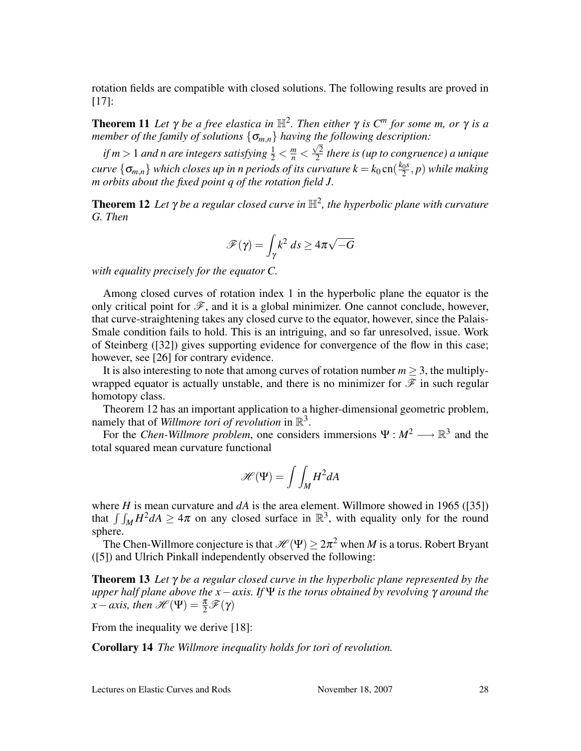rotation fields are compatible with closed solutions. The following results are proved in [17]:

**Theorem 11** Let  $\gamma$  be a free elastica in  $\mathbb{H}^2$ . Then either  $\gamma$  is  $C^m$  for some m, or  $\gamma$  is a *member of the family of solutions* {<sup>σ</sup>*m*,*n*} *having the following description:* √

*if*  $m > 1$  *and n are integers satisfying*  $\frac{1}{2} < \frac{m}{n} < \frac{\sqrt{2}}{2}$  $\frac{1}{2}$  there is (up to congruence) a unique *curve*  $\{\sigma_{m,n}\}$  *which closes up in n periods of its curvature*  $k = k_0$  cn $(\frac{k_0 s}{2})$ 2 , *p*) *while making m orbits about the fixed point q of the rotation field J.*

**Theorem 12** Let  $γ$  be a regular closed curve in  $H^2$ , the hyperbolic plane with curvature *G. Then*

$$
\mathscr{F}(\gamma) = \int_{\gamma} k^2 \, ds \ge 4\pi \sqrt{-G}
$$

*with equality precisely for the equator C.*

Among closed curves of rotation index 1 in the hyperbolic plane the equator is the only critical point for  $\mathcal{F}$ , and it is a global minimizer. One cannot conclude, however, that curve-straightening takes any closed curve to the equator, however, since the Palais-Smale condition fails to hold. This is an intriguing, and so far unresolved, issue. Work of Steinberg ([32]) gives supporting evidence for convergence of the flow in this case; however, see [26] for contrary evidence.

It is also interesting to note that among curves of rotation number  $m \geq 3$ , the multiplywrapped equator is actually unstable, and there is no minimizer for  $\mathscr F$  in such regular homotopy class.

Theorem 12 has an important application to a higher-dimensional geometric problem, namely that of *Willmore tori of revolution* in  $\mathbb{R}^3$ .

For the *Chen-Willmore problem*, one considers immersions  $\Psi : M^2 \longrightarrow \mathbb{R}^3$  and the total squared mean curvature functional

$$
\mathcal{H}(\Psi) = \int \int_M H^2 dA
$$

where *H* is mean curvature and  $dA$  is the area element. Willmore showed in 1965 ([35]) where *H* is mean curvature and *aA* is the area element. Whillione showed in 1905 ([35]) that  $\int \int_M H^2 dA \geq 4\pi$  on any closed surface in  $\mathbb{R}^3$ , with equality only for the round sphere.

The Chen-Willmore conjecture is that  $\mathscr{H}(\Psi) \geq 2\pi^2$  when *M* is a torus. Robert Bryant ([5]) and Ulrich Pinkall independently observed the following:

Theorem 13 *Let* γ *be a regular closed curve in the hyperbolic plane represented by the upper half plane above the x*−*axis. If* Ψ *is the torus obtained by revolving* γ *around the*  $x - axis$ , then  $\mathscr{H}(\Psi) = \frac{\pi}{2} \mathscr{F}(\gamma)$ 

From the inequality we derive [18]:

Corollary 14 *The Willmore inequality holds for tori of revolution.*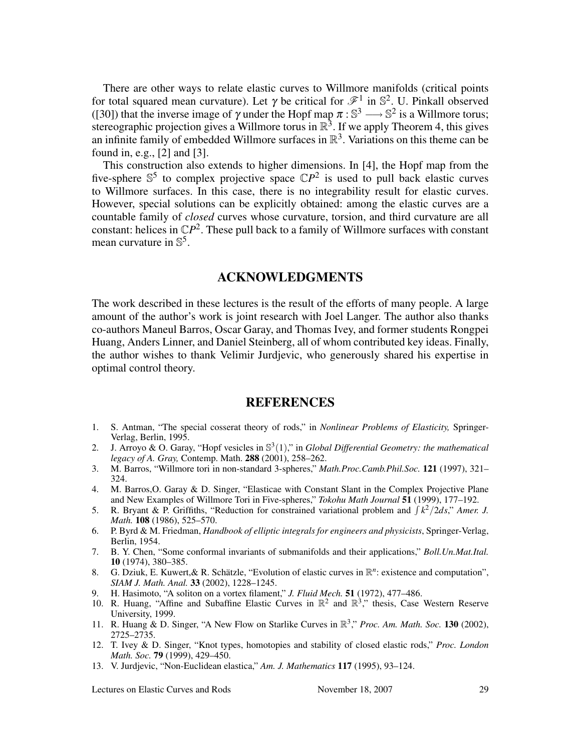There are other ways to relate elastic curves to Willmore manifolds (critical points for total squared mean curvature). Let  $\gamma$  be critical for  $\mathscr{F}^1$  in  $\mathbb{S}^2$ . U. Pinkall observed ([30]) that the inverse image of  $\gamma$  under the Hopf map  $\pi : \mathbb{S}^3 \longrightarrow \mathbb{S}^2$  is a Willmore torus; stereographic projection gives a Willmore torus in  $\mathbb{R}^3$ . If we apply Theorem 4, this gives an infinite family of embedded Willmore surfaces in  $\mathbb{R}^3$ . Variations on this theme can be found in, e.g., [2] and [3].

This construction also extends to higher dimensions. In [4], the Hopf map from the five-sphere  $\mathbb{S}^5$  to complex projective space  $\mathbb{C}P^2$  is used to pull back elastic curves to Willmore surfaces. In this case, there is no integrability result for elastic curves. However, special solutions can be explicitly obtained: among the elastic curves are a countable family of *closed* curves whose curvature, torsion, and third curvature are all constant: helices in  $\mathbb{C}P^2$ . These pull back to a family of Willmore surfaces with constant mean curvature in  $\mathbb{S}^5$ .

#### ACKNOWLEDGMENTS

The work described in these lectures is the result of the efforts of many people. A large amount of the author's work is joint research with Joel Langer. The author also thanks co-authors Maneul Barros, Oscar Garay, and Thomas Ivey, and former students Rongpei Huang, Anders Linner, and Daniel Steinberg, all of whom contributed key ideas. Finally, the author wishes to thank Velimir Jurdjevic, who generously shared his expertise in optimal control theory.

#### **REFERENCES**

- 1. S. Antman, "The special cosserat theory of rods," in *Nonlinear Problems of Elasticity,* Springer-Verlag, Berlin, 1995.
- 2. J. Arroyo & O. Garay, "Hopf vesicles in S 3 (1)," in *Global Differential Geometry: the mathematical legacy of A. Gray,* Contemp. Math. 288 (2001), 258–262.
- 3. M. Barros, "Willmore tori in non-standard 3-spheres," *Math.Proc.Camb.Phil.Soc.* 121 (1997), 321– 324.
- 4. M. Barros,O. Garay & D. Singer, "Elasticae with Constant Slant in the Complex Projective Plane and New Examples of Willmore Tori in Five-spheres," *Tokohu Math Journal* 51 (1999), 177–192.
- and New Examples of willhole for in Five-spheres, *fokond main Journal* 51 (1999),  $177-192$ .<br>5. R. Bryant & P. Griffiths, "Reduction for constrained variational problem and  $\int k^2/2ds$ ," *Amer. J. Math.* 108 (1986), 525–570.
- 6. P. Byrd & M. Friedman, *Handbook of elliptic integrals for engineers and physicists*, Springer-Verlag, Berlin, 1954.
- 7. B. Y. Chen, "Some conformal invariants of submanifolds and their applications," *Boll.Un.Mat.Ital.* 10 (1974), 380–385.
- 8. G. Dziuk, E. Kuwert, & R. Schätzle, "Evolution of elastic curves in  $\mathbb{R}^n$ : existence and computation", *SIAM J. Math. Anal.* 33 (2002), 1228–1245.
- 9. H. Hasimoto, "A soliton on a vortex filament," *J. Fluid Mech.* 51 (1972), 477–486.
- 10. R. Huang, "Affine and Subaffine Elastic Curves in  $\mathbb{R}^2$  and  $\mathbb{R}^3$ ," thesis, Case Western Reserve University, 1999.
- 11. R. Huang & D. Singer, "A New Flow on Starlike Curves in R 3 ," *Proc. Am. Math. Soc.* 130 (2002), 2725–2735.
- 12. T. Ivey & D. Singer, "Knot types, homotopies and stability of closed elastic rods," *Proc. London Math. Soc.* 79 (1999), 429–450.
- 13. V. Jurdjevic, "Non-Euclidean elastica," *Am. J. Mathematics* 117 (1995), 93–124.